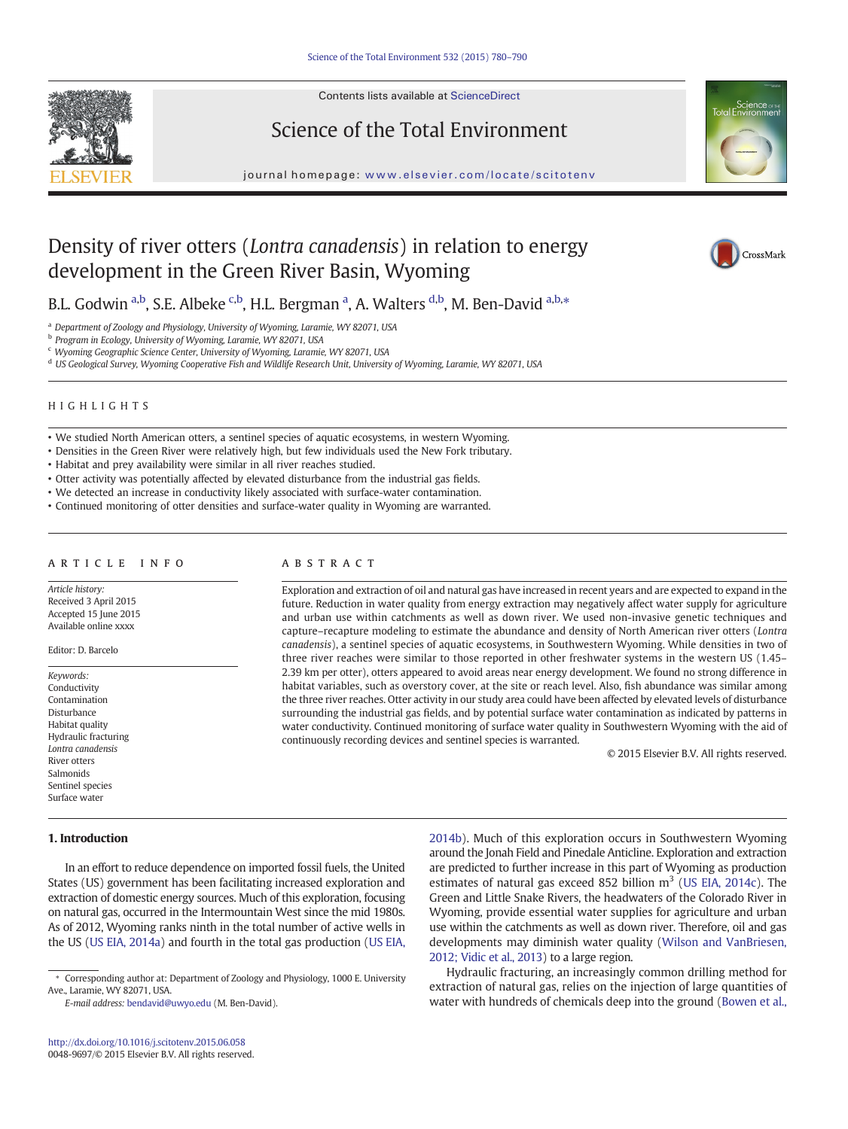

Contents lists available at ScienceDirect

# Science of the Total Environment

journal homepage: <www.elsevier.com/locate/scitotenv>



# Density of river otters (Lontra canadensis) in relation to energy development in the Green River Basin, Wyoming

CrossMark

B.L. Godwin <sup>a,b</sup>, S.E. Albeke <sup>c,b</sup>, H.L. Bergman <sup>a</sup>, A. Walters <sup>d,b</sup>, M. Ben-David <sup>a,b,</sup>\*

<sup>a</sup> Department of Zoology and Physiology, University of Wyoming, Laramie, WY 82071, USA

<sup>b</sup> Program in Ecology, University of Wyoming, Laramie, WY 82071, USA

<sup>c</sup> Wyoming Geographic Science Center, University of Wyoming, Laramie, WY 82071, USA

<sup>d</sup> US Geological Survey, Wyoming Cooperative Fish and Wildlife Research Unit, University of Wyoming, Laramie, WY 82071, USA

# HIGHLIGHTS

• We studied North American otters, a sentinel species of aquatic ecosystems, in western Wyoming.

• Densities in the Green River were relatively high, but few individuals used the New Fork tributary.

• Habitat and prey availability were similar in all river reaches studied.

• Otter activity was potentially affected by elevated disturbance from the industrial gas fields.

• We detected an increase in conductivity likely associated with surface-water contamination.

• Continued monitoring of otter densities and surface-water quality in Wyoming are warranted.

# article info abstract

Article history: Received 3 April 2015 Accepted 15 June 2015 Available online xxxx

Editor: D. Barcelo

Keywords: **Conductivity** Contamination Disturbance Habitat quality Hydraulic fracturing Lontra canadensis River otters Salmonids Sentinel species Surface water

# 1. Introduction

In an effort to reduce dependence on imported fossil fuels, the United States (US) government has been facilitating increased exploration and extraction of domestic energy sources. Much of this exploration, focusing on natural gas, occurred in the Intermountain West since the mid 1980s. As of 2012, Wyoming ranks ninth in the total number of active wells in the US [\(US EIA, 2014a\)](#page-9-0) and fourth in the total gas production [\(US EIA,](#page-9-0)

Exploration and extraction of oil and natural gas have increased in recent years and are expected to expand in the future. Reduction in water quality from energy extraction may negatively affect water supply for agriculture and urban use within catchments as well as down river. We used non-invasive genetic techniques and capture–recapture modeling to estimate the abundance and density of North American river otters (Lontra canadensis), a sentinel species of aquatic ecosystems, in Southwestern Wyoming. While densities in two of three river reaches were similar to those reported in other freshwater systems in the western US (1.45– 2.39 km per otter), otters appeared to avoid areas near energy development. We found no strong difference in habitat variables, such as overstory cover, at the site or reach level. Also, fish abundance was similar among the three river reaches. Otter activity in our study area could have been affected by elevated levels of disturbance surrounding the industrial gas fields, and by potential surface water contamination as indicated by patterns in water conductivity. Continued monitoring of surface water quality in Southwestern Wyoming with the aid of continuously recording devices and sentinel species is warranted.

© 2015 Elsevier B.V. All rights reserved.

[2014b](#page-9-0)). Much of this exploration occurs in Southwestern Wyoming around the Jonah Field and Pinedale Anticline. Exploration and extraction are predicted to further increase in this part of Wyoming as production estimates of natural gas exceed 852 billion  $m<sup>3</sup>$  [\(US EIA, 2014c](#page-10-0)). The Green and Little Snake Rivers, the headwaters of the Colorado River in Wyoming, provide essential water supplies for agriculture and urban use within the catchments as well as down river. Therefore, oil and gas developments may diminish water quality [\(Wilson and VanBriesen,](#page-10-0) [2012; Vidic et al., 2013](#page-10-0)) to a large region.

Hydraulic fracturing, an increasingly common drilling method for extraction of natural gas, relies on the injection of large quantities of water with hundreds of chemicals deep into the ground [\(Bowen et al.,](#page-9-0)

<sup>⁎</sup> Corresponding author at: Department of Zoology and Physiology, 1000 E. University Ave., Laramie, WY 82071, USA.

E-mail address: [bendavid@uwyo.edu](mailto:bendavid@uwyo.edu) (M. Ben-David).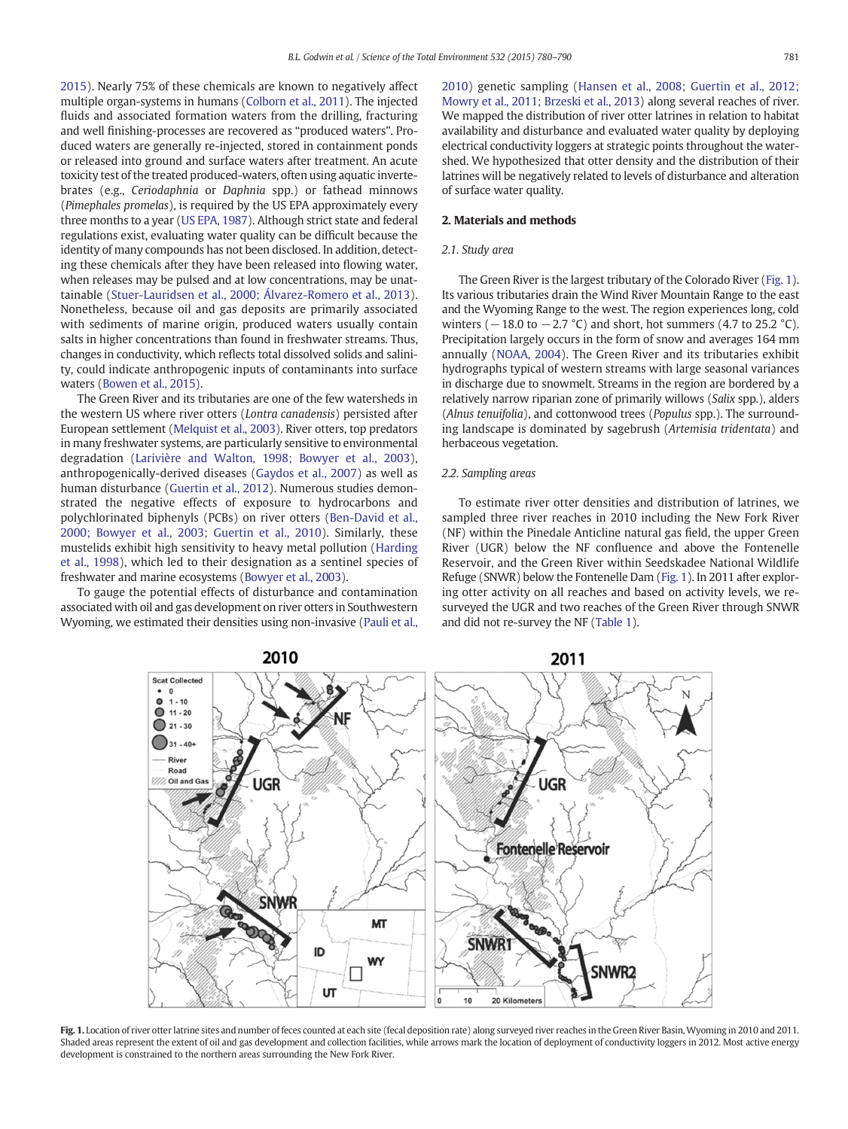<span id="page-1-0"></span>[2015\)](#page-9-0). Nearly 75% of these chemicals are known to negatively affect multiple organ-systems in humans [\(Colborn et al., 2011](#page-9-0)). The injected fluids and associated formation waters from the drilling, fracturing and well finishing-processes are recovered as "produced waters". Produced waters are generally re-injected, stored in containment ponds or released into ground and surface waters after treatment. An acute toxicity test of the treated produced-waters, often using aquatic invertebrates (e.g., Ceriodaphnia or Daphnia spp.) or fathead minnows (Pimephales promelas), is required by the US EPA approximately every three months to a year [\(US EPA, 1987\)](#page-10-0). Although strict state and federal regulations exist, evaluating water quality can be difficult because the identity of many compounds has not been disclosed. In addition, detecting these chemicals after they have been released into flowing water, when releases may be pulsed and at low concentrations, may be unattainable [\(Stuer-Lauridsen et al., 2000; Álvarez-Romero et al., 2013](#page-9-0)). Nonetheless, because oil and gas deposits are primarily associated with sediments of marine origin, produced waters usually contain salts in higher concentrations than found in freshwater streams. Thus, changes in conductivity, which reflects total dissolved solids and salinity, could indicate anthropogenic inputs of contaminants into surface waters [\(Bowen et al., 2015](#page-9-0)).

The Green River and its tributaries are one of the few watersheds in the western US where river otters (Lontra canadensis) persisted after European settlement [\(Melquist et al., 2003\)](#page-9-0). River otters, top predators in many freshwater systems, are particularly sensitive to environmental degradation [\(Larivière and Walton, 1998; Bowyer et al., 2003](#page-9-0)), anthropogenically-derived diseases ([Gaydos et al., 2007\)](#page-9-0) as well as human disturbance [\(Guertin et al., 2012](#page-9-0)). Numerous studies demonstrated the negative effects of exposure to hydrocarbons and polychlorinated biphenyls (PCBs) on river otters ([Ben-David et al.,](#page-9-0) [2000; Bowyer et al., 2003; Guertin et al., 2010\)](#page-9-0). Similarly, these mustelids exhibit high sensitivity to heavy metal pollution ([Harding](#page-9-0) [et al., 1998\)](#page-9-0), which led to their designation as a sentinel species of freshwater and marine ecosystems ([Bowyer et al., 2003\)](#page-9-0).

To gauge the potential effects of disturbance and contamination associated with oil and gas development on river otters in Southwestern Wyoming, we estimated their densities using non-invasive ([Pauli et al.,](#page-9-0) [2010\)](#page-9-0) genetic sampling [\(Hansen et al., 2008; Guertin et al., 2012;](#page-9-0) [Mowry et al., 2011; Brzeski et al., 2013](#page-9-0)) along several reaches of river. We mapped the distribution of river otter latrines in relation to habitat availability and disturbance and evaluated water quality by deploying electrical conductivity loggers at strategic points throughout the watershed. We hypothesized that otter density and the distribution of their latrines will be negatively related to levels of disturbance and alteration of surface water quality.

# 2. Materials and methods

# 2.1. Study area

The Green River is the largest tributary of the Colorado River (Fig. 1). Its various tributaries drain the Wind River Mountain Range to the east and the Wyoming Range to the west. The region experiences long, cold winters ( $-18.0$  to  $-2.7$  °C) and short, hot summers (4.7 to 25.2 °C). Precipitation largely occurs in the form of snow and averages 164 mm annually ([NOAA, 2004](#page-9-0)). The Green River and its tributaries exhibit hydrographs typical of western streams with large seasonal variances in discharge due to snowmelt. Streams in the region are bordered by a relatively narrow riparian zone of primarily willows (Salix spp.), alders (Alnus tenuifolia), and cottonwood trees (Populus spp.). The surrounding landscape is dominated by sagebrush (Artemisia tridentata) and herbaceous vegetation.

# 2.2. Sampling areas

To estimate river otter densities and distribution of latrines, we sampled three river reaches in 2010 including the New Fork River (NF) within the Pinedale Anticline natural gas field, the upper Green River (UGR) below the NF confluence and above the Fontenelle Reservoir, and the Green River within Seedskadee National Wildlife Refuge (SNWR) below the Fontenelle Dam (Fig. 1). In 2011 after exploring otter activity on all reaches and based on activity levels, we resurveyed the UGR and two reaches of the Green River through SNWR and did not re-survey the NF [\(Table 1](#page-2-0)).



Fig. 1. Location of river otter latrine sites and number of feces counted at each site (fecal deposition rate) along surveyed river reaches in the Green River Basin, Wyoming in 2010 and 2011. Shaded areas represent the extent of oil and gas development and collection facilities, while arrows mark the location of deployment of conductivity loggers in 2012. Most active energy development is constrained to the northern areas surrounding the New Fork River.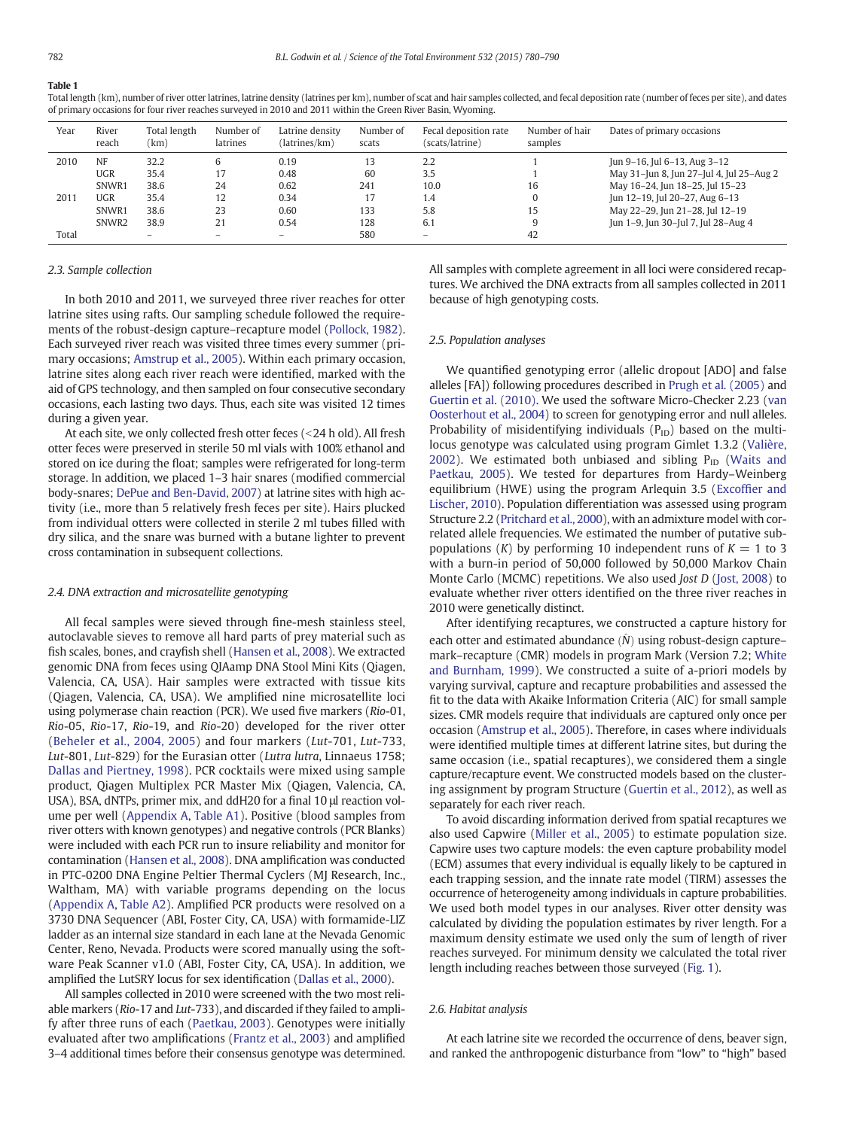# <span id="page-2-0"></span>Table 1

Total length (km), number of river otter latrines, latrine density (latrines per km), number of scat and hair samples collected, and fecal deposition rate (number of feces per site), and dates of primary occasions for four river reaches surveyed in 2010 and 2011 within the Green River Basin, Wyoming.

| Year  | River<br>reach    | Total length<br>(km) | Number of<br><b>latrines</b> | Latrine density<br>(latrines/km) | Number of<br>scats | Fecal deposition rate<br>(scats/latrine) | Number of hair<br>samples | Dates of primary occasions               |
|-------|-------------------|----------------------|------------------------------|----------------------------------|--------------------|------------------------------------------|---------------------------|------------------------------------------|
| 2010  | <b>NF</b>         | 32.2                 |                              | 0.19                             |                    | 2.2                                      |                           | Jun 9-16, Jul 6-13, Aug 3-12             |
|       | UGR               | 35.4                 |                              | 0.48                             | 60                 | 3.5                                      |                           | May 31-Jun 8, Jun 27-Jul 4, Jul 25-Aug 2 |
|       | SNWR1             | 38.6                 | 24                           | 0.62                             | 241                | 10.0                                     | 16                        | May 16-24, Jun 18-25, Jul 15-23          |
| 2011  | UGR               | 35.4                 | 12                           | 0.34                             |                    | 1.4                                      | 0                         | Jun 12-19, Jul 20-27, Aug 6-13           |
|       | SNWR1             | 38.6                 | 23                           | 0.60                             | 133                | 5.8                                      | 15                        | May 22-29, Jun 21-28, Jul 12-19          |
|       | SNWR <sub>2</sub> | 38.9                 | 21                           | 0.54                             | 128                | 6.1                                      |                           | Jun 1-9, Jun 30-Jul 7, Jul 28-Aug 4      |
| Total |                   | $\qquad \qquad -$    | $\overline{\phantom{0}}$     |                                  | 580                | $\qquad \qquad -$                        | 42                        |                                          |

# 2.3. Sample collection

In both 2010 and 2011, we surveyed three river reaches for otter latrine sites using rafts. Our sampling schedule followed the requirements of the robust-design capture–recapture model [\(Pollock, 1982](#page-9-0)). Each surveyed river reach was visited three times every summer (primary occasions; [Amstrup et al., 2005](#page-9-0)). Within each primary occasion, latrine sites along each river reach were identified, marked with the aid of GPS technology, and then sampled on four consecutive secondary occasions, each lasting two days. Thus, each site was visited 12 times during a given year.

At each site, we only collected fresh otter feces (<24 h old). All fresh otter feces were preserved in sterile 50 ml vials with 100% ethanol and stored on ice during the float; samples were refrigerated for long-term storage. In addition, we placed 1–3 hair snares (modified commercial body-snares; [DePue and Ben-David, 2007](#page-9-0)) at latrine sites with high activity (i.e., more than 5 relatively fresh feces per site). Hairs plucked from individual otters were collected in sterile 2 ml tubes filled with dry silica, and the snare was burned with a butane lighter to prevent cross contamination in subsequent collections.

# 2.4. DNA extraction and microsatellite genotyping

All fecal samples were sieved through fine-mesh stainless steel, autoclavable sieves to remove all hard parts of prey material such as fish scales, bones, and crayfish shell [\(Hansen et al., 2008](#page-9-0)). We extracted genomic DNA from feces using QIAamp DNA Stool Mini Kits (Qiagen, Valencia, CA, USA). Hair samples were extracted with tissue kits (Qiagen, Valencia, CA, USA). We amplified nine microsatellite loci using polymerase chain reaction (PCR). We used five markers (Rio-01, Rio-05, Rio-17, Rio-19, and Rio-20) developed for the river otter ([Beheler et al., 2004, 2005\)](#page-9-0) and four markers (Lut-701, Lut-733, Lut-801, Lut-829) for the Eurasian otter (Lutra lutra, Linnaeus 1758; [Dallas and Piertney, 1998](#page-9-0)). PCR cocktails were mixed using sample product, Qiagen Multiplex PCR Master Mix (Qiagen, Valencia, CA, USA), BSA, dNTPs, primer mix, and ddH20 for a final 10 μl reaction volume per well ([Appendix A](#page-7-0), [Table A1\)](#page-7-0). Positive (blood samples from river otters with known genotypes) and negative controls (PCR Blanks) were included with each PCR run to insure reliability and monitor for contamination ([Hansen et al., 2008\)](#page-9-0). DNA amplification was conducted in PTC-0200 DNA Engine Peltier Thermal Cyclers (MJ Research, Inc., Waltham, MA) with variable programs depending on the locus [\(Appendix A,](#page-7-0) [Table A2\)](#page-8-0). Amplified PCR products were resolved on a 3730 DNA Sequencer (ABI, Foster City, CA, USA) with formamide-LIZ ladder as an internal size standard in each lane at the Nevada Genomic Center, Reno, Nevada. Products were scored manually using the software Peak Scanner v1.0 (ABI, Foster City, CA, USA). In addition, we amplified the LutSRY locus for sex identification ([Dallas et al., 2000\)](#page-9-0).

All samples collected in 2010 were screened with the two most reliable markers (Rio-17 and Lut-733), and discarded if they failed to amplify after three runs of each [\(Paetkau, 2003\)](#page-9-0). Genotypes were initially evaluated after two amplifications ([Frantz et al., 2003\)](#page-9-0) and amplified 3–4 additional times before their consensus genotype was determined. All samples with complete agreement in all loci were considered recaptures. We archived the DNA extracts from all samples collected in 2011 because of high genotyping costs.

#### 2.5. Population analyses

We quantified genotyping error (allelic dropout [ADO] and false alleles [FA]) following procedures described in [Prugh et al. \(2005\)](#page-9-0) and [Guertin et al. \(2010\).](#page-9-0) We used the software Micro-Checker 2.23 ([van](#page-10-0) [Oosterhout et al., 2004\)](#page-10-0) to screen for genotyping error and null alleles. Probability of misidentifying individuals  $(P_{ID})$  based on the multilocus genotype was calculated using program Gimlet 1.3.2 [\(Valière,](#page-10-0) [2002](#page-10-0)). We estimated both unbiased and sibling  $P_{ID}$  [\(Waits and](#page-10-0) [Paetkau, 2005](#page-10-0)). We tested for departures from Hardy–Weinberg equilibrium (HWE) using the program Arlequin 3.5 (Excoffi[er and](#page-9-0) [Lischer, 2010\)](#page-9-0). Population differentiation was assessed using program Structure 2.2 ([Pritchard et al., 2000](#page-9-0)), with an admixture model with correlated allele frequencies. We estimated the number of putative subpopulations (K) by performing 10 independent runs of  $K = 1$  to 3 with a burn-in period of 50,000 followed by 50,000 Markov Chain Monte Carlo (MCMC) repetitions. We also used Jost D ([Jost, 2008\)](#page-9-0) to evaluate whether river otters identified on the three river reaches in 2010 were genetically distinct.

After identifying recaptures, we constructed a capture history for each otter and estimated abundance  $(N)$  using robust-design capture– mark–recapture (CMR) models in program Mark (Version 7.2; [White](#page-10-0) [and Burnham, 1999\)](#page-10-0). We constructed a suite of a-priori models by varying survival, capture and recapture probabilities and assessed the fit to the data with Akaike Information Criteria (AIC) for small sample sizes. CMR models require that individuals are captured only once per occasion [\(Amstrup et al., 2005](#page-9-0)). Therefore, in cases where individuals were identified multiple times at different latrine sites, but during the same occasion (i.e., spatial recaptures), we considered them a single capture/recapture event. We constructed models based on the clustering assignment by program Structure ([Guertin et al., 2012\)](#page-9-0), as well as separately for each river reach.

To avoid discarding information derived from spatial recaptures we also used Capwire [\(Miller et al., 2005\)](#page-9-0) to estimate population size. Capwire uses two capture models: the even capture probability model (ECM) assumes that every individual is equally likely to be captured in each trapping session, and the innate rate model (TIRM) assesses the occurrence of heterogeneity among individuals in capture probabilities. We used both model types in our analyses. River otter density was calculated by dividing the population estimates by river length. For a maximum density estimate we used only the sum of length of river reaches surveyed. For minimum density we calculated the total river length including reaches between those surveyed [\(Fig. 1\)](#page-1-0).

# 2.6. Habitat analysis

At each latrine site we recorded the occurrence of dens, beaver sign, and ranked the anthropogenic disturbance from "low" to "high" based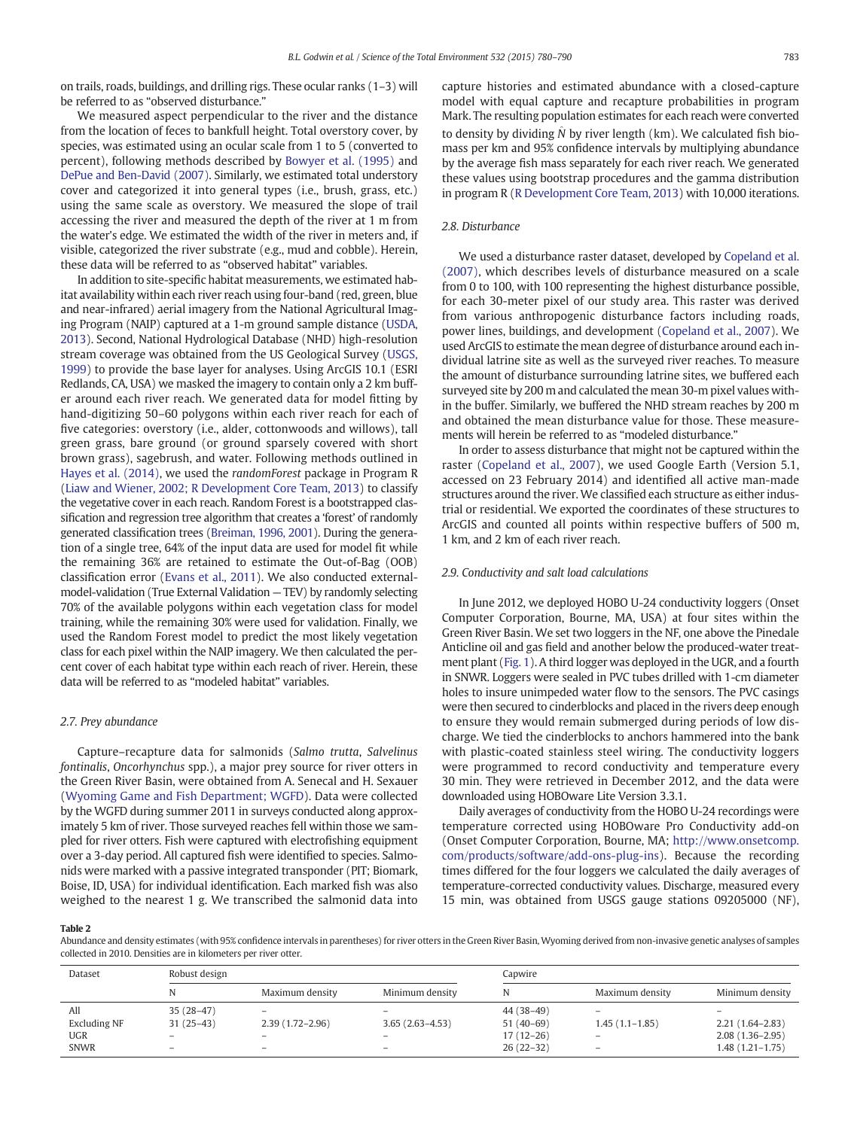<span id="page-3-0"></span>on trails, roads, buildings, and drilling rigs. These ocular ranks (1–3) will be referred to as "observed disturbance."

We measured aspect perpendicular to the river and the distance from the location of feces to bankfull height. Total overstory cover, by species, was estimated using an ocular scale from 1 to 5 (converted to percent), following methods described by [Bowyer et al. \(1995\)](#page-9-0) and [DePue and Ben-David \(2007\).](#page-9-0) Similarly, we estimated total understory cover and categorized it into general types (i.e., brush, grass, etc.) using the same scale as overstory. We measured the slope of trail accessing the river and measured the depth of the river at 1 m from the water's edge. We estimated the width of the river in meters and, if visible, categorized the river substrate (e.g., mud and cobble). Herein, these data will be referred to as "observed habitat" variables.

In addition to site-specific habitat measurements, we estimated habitat availability within each river reach using four-band (red, green, blue and near-infrared) aerial imagery from the National Agricultural Imaging Program (NAIP) captured at a 1-m ground sample distance [\(USDA,](#page-10-0) [2013](#page-10-0)). Second, National Hydrological Database (NHD) high-resolution stream coverage was obtained from the US Geological Survey [\(USGS,](#page-10-0) [1999\)](#page-10-0) to provide the base layer for analyses. Using ArcGIS 10.1 (ESRI Redlands, CA, USA) we masked the imagery to contain only a 2 km buffer around each river reach. We generated data for model fitting by hand-digitizing 50–60 polygons within each river reach for each of five categories: overstory (i.e., alder, cottonwoods and willows), tall green grass, bare ground (or ground sparsely covered with short brown grass), sagebrush, and water. Following methods outlined in [Hayes et al. \(2014\)](#page-9-0), we used the randomForest package in Program R [\(Liaw and Wiener, 2002; R Development Core Team, 2013](#page-9-0)) to classify the vegetative cover in each reach. Random Forest is a bootstrapped classification and regression tree algorithm that creates a 'forest' of randomly generated classification trees [\(Breiman, 1996, 2001](#page-9-0)). During the generation of a single tree, 64% of the input data are used for model fit while the remaining 36% are retained to estimate the Out-of-Bag (OOB) classification error ([Evans et al., 2011](#page-9-0)). We also conducted externalmodel-validation (True External Validation — TEV) by randomly selecting 70% of the available polygons within each vegetation class for model training, while the remaining 30% were used for validation. Finally, we used the Random Forest model to predict the most likely vegetation class for each pixel within the NAIP imagery. We then calculated the percent cover of each habitat type within each reach of river. Herein, these data will be referred to as "modeled habitat" variables.

# 2.7. Prey abundance

Capture–recapture data for salmonids (Salmo trutta, Salvelinus fontinalis, Oncorhynchus spp.), a major prey source for river otters in the Green River Basin, were obtained from A. Senecal and H. Sexauer [\(Wyoming Game and Fish Department; WGFD](#page-10-0)). Data were collected by the WGFD during summer 2011 in surveys conducted along approximately 5 km of river. Those surveyed reaches fell within those we sampled for river otters. Fish were captured with electrofishing equipment over a 3-day period. All captured fish were identified to species. Salmonids were marked with a passive integrated transponder (PIT; Biomark, Boise, ID, USA) for individual identification. Each marked fish was also weighed to the nearest 1 g. We transcribed the salmonid data into

capture histories and estimated abundance with a closed-capture model with equal capture and recapture probabilities in program Mark. The resulting population estimates for each reach were converted to density by dividing  $\hat{N}$  by river length (km). We calculated fish biomass per km and 95% confidence intervals by multiplying abundance by the average fish mass separately for each river reach. We generated these values using bootstrap procedures and the gamma distribution in program R ([R Development Core Team, 2013\)](#page-9-0) with 10,000 iterations.

# 2.8. Disturbance

We used a disturbance raster dataset, developed by [Copeland et al.](#page-9-0) [\(2007\)](#page-9-0), which describes levels of disturbance measured on a scale from 0 to 100, with 100 representing the highest disturbance possible, for each 30-meter pixel of our study area. This raster was derived from various anthropogenic disturbance factors including roads, power lines, buildings, and development [\(Copeland et al., 2007](#page-9-0)). We used ArcGIS to estimate the mean degree of disturbance around each individual latrine site as well as the surveyed river reaches. To measure the amount of disturbance surrounding latrine sites, we buffered each surveyed site by 200 m and calculated the mean 30-m pixel values within the buffer. Similarly, we buffered the NHD stream reaches by 200 m and obtained the mean disturbance value for those. These measurements will herein be referred to as "modeled disturbance."

In order to assess disturbance that might not be captured within the raster ([Copeland et al., 2007\)](#page-9-0), we used Google Earth (Version 5.1, accessed on 23 February 2014) and identified all active man-made structures around the river. We classified each structure as either industrial or residential. We exported the coordinates of these structures to ArcGIS and counted all points within respective buffers of 500 m, 1 km, and 2 km of each river reach.

# 2.9. Conductivity and salt load calculations

In June 2012, we deployed HOBO U-24 conductivity loggers (Onset Computer Corporation, Bourne, MA, USA) at four sites within the Green River Basin. We set two loggers in the NF, one above the Pinedale Anticline oil and gas field and another below the produced-water treatment plant [\(Fig. 1](#page-1-0)). A third logger was deployed in the UGR, and a fourth in SNWR. Loggers were sealed in PVC tubes drilled with 1-cm diameter holes to insure unimpeded water flow to the sensors. The PVC casings were then secured to cinderblocks and placed in the rivers deep enough to ensure they would remain submerged during periods of low discharge. We tied the cinderblocks to anchors hammered into the bank with plastic-coated stainless steel wiring. The conductivity loggers were programmed to record conductivity and temperature every 30 min. They were retrieved in December 2012, and the data were downloaded using HOBOware Lite Version 3.3.1.

Daily averages of conductivity from the HOBO U-24 recordings were temperature corrected using HOBOware Pro Conductivity add-on (Onset Computer Corporation, Bourne, MA; [http://www.onsetcomp.](http://www.onsetcomp.com/products/software/add-ons-plug-ins) [com/products/software/add-ons-plug-ins](http://www.onsetcomp.com/products/software/add-ons-plug-ins)). Because the recording times differed for the four loggers we calculated the daily averages of temperature-corrected conductivity values. Discharge, measured every 15 min, was obtained from USGS gauge stations 09205000 (NF),

# Table 2

Abundance and density estimates (with 95% confidence intervals in parentheses) for river otters in the Green River Basin, Wyoming derived from non-invasive genetic analyses of samples collected in 2010. Densities are in kilometers per river otter.

| Dataset                           | Robust design                                          |                                                                      |                   | Capwire                                  |                                                                   |                                            |  |
|-----------------------------------|--------------------------------------------------------|----------------------------------------------------------------------|-------------------|------------------------------------------|-------------------------------------------------------------------|--------------------------------------------|--|
|                                   |                                                        | Maximum density                                                      | Minimum density   |                                          | Maximum density                                                   | Minimum density                            |  |
| All<br><b>Excluding NF</b><br>UGR | $35(28-47)$<br>$31(25-43)$<br>$\overline{\phantom{0}}$ | $\overline{\phantom{0}}$<br>$2.39(1.72 - 2.96)$<br>$\qquad \qquad -$ | $3.65(2.63-4.53)$ | 44 (38-49)<br>$51(40-69)$<br>$17(12-26)$ | $\overline{\phantom{0}}$<br>$1.45(1.1-1.85)$<br>$\qquad \qquad -$ | $2.21(1.64 - 2.83)$<br>$2.08(1.36 - 2.95)$ |  |
| <b>SNWR</b>                       | $\qquad \qquad$                                        | $\overline{\phantom{0}}$                                             | -                 | $26(22-32)$                              | $\qquad \qquad -$                                                 | $1.48(1.21 - 1.75)$                        |  |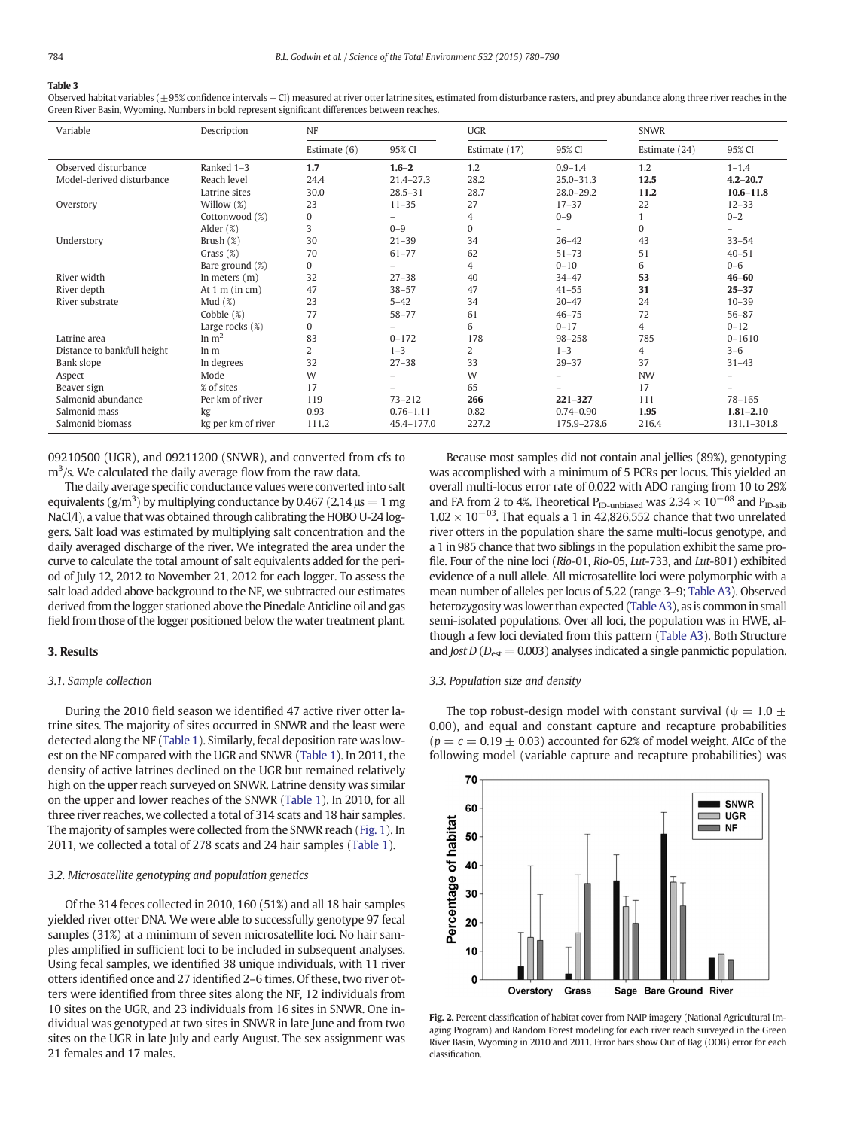#### <span id="page-4-0"></span>Table 3

Observed habitat variables (±95% confidence intervals - CI) measured at river otter latrine sites, estimated from disturbance rasters, and prey abundance along three river reaches in the Green River Basin, Wyoming. Numbers in bold represent significant differences between reaches.

| Variable                    | Description              | NF             |               | <b>UGR</b>    |               | <b>SNWR</b>   |               |
|-----------------------------|--------------------------|----------------|---------------|---------------|---------------|---------------|---------------|
|                             |                          | Estimate $(6)$ | 95% CI        | Estimate (17) | 95% CI        | Estimate (24) | 95% CI        |
| Observed disturbance        | Ranked 1-3               | 1.7            | $1.6 - 2$     | 1.2           | $0.9 - 1.4$   | 1.2           | $1 - 1.4$     |
| Model-derived disturbance   | Reach level              | 24.4           | $21.4 - 27.3$ | 28.2          | $25.0 - 31.3$ | 12.5          | $4.2 - 20.7$  |
|                             | Latrine sites            | 30.0           | $28.5 - 31$   | 28.7          | $28.0 - 29.2$ | 11.2          | $10.6 - 11.8$ |
| Overstory                   | Willow (%)               | 23             | $11 - 35$     | 27            | $17 - 37$     | 22            | $12 - 33$     |
|                             | Cottonwood (%)           | $\mathbf{0}$   |               | 4             | $0 - 9$       |               | $0 - 2$       |
|                             | Alder $(\%)$             | 3              | $0 - 9$       | $\Omega$      |               | $\mathbf{0}$  |               |
| Understory                  | Brush $(\%)$             | 30             | $21 - 39$     | 34            | $26 - 42$     | 43            | $33 - 54$     |
|                             | Grass $(\%)$             | 70             | $61 - 77$     | 62            | $51 - 73$     | 51            | $40 - 51$     |
|                             | Bare ground (%)          | 0              |               | 4             | $0 - 10$      | 6             | $0 - 6$       |
| River width                 | In meters $(m)$          | 32             | $27 - 38$     | 40            | $34 - 47$     | 53            | $46 - 60$     |
| River depth                 | At $1 \text{ m}$ (in cm) | 47             | $38 - 57$     | 47            | $41 - 55$     | 31            | $25 - 37$     |
| River substrate             | Mud $(\%)$               | 23             | $5 - 42$      | 34            | $20 - 47$     | 24            | $10 - 39$     |
|                             | Cobble (%)               | 77             | $58 - 77$     | 61            | $46 - 75$     | 72            | $56 - 87$     |
|                             | Large rocks $(\%)$       | $\mathbf{0}$   |               | 6             | $0 - 17$      | 4             | $0 - 12$      |
| Latrine area                | In $m2$                  | 83             | $0 - 172$     | 178           | $98 - 258$    | 785           | $0 - 1610$    |
| Distance to bankfull height | In m                     | 2              | $1 - 3$       | 2             | $1 - 3$       | 4             | $3 - 6$       |
| Bank slope                  | In degrees               | 32             | $27 - 38$     | 33            | $29 - 37$     | 37            | $31 - 43$     |
| Aspect                      | Mode                     | W              |               | W             |               | <b>NW</b>     |               |
| Beaver sign                 | % of sites               | 17             |               | 65            |               | 17            |               |
| Salmonid abundance          | Per km of river          | 119            | $73 - 212$    | 266           | $221 - 327$   | 111           | $78 - 165$    |
| Salmonid mass               | kg                       | 0.93           | $0.76 - 1.11$ | 0.82          | $0.74 - 0.90$ | 1.95          | $1.81 - 2.10$ |
| Salmonid biomass            | kg per km of river       | 111.2          | 45.4-177.0    | 227.2         | 175.9-278.6   | 216.4         | 131.1-301.8   |

09210500 (UGR), and 09211200 (SNWR), and converted from cfs to  $m<sup>3</sup>/s$ . We calculated the daily average flow from the raw data.

The daily average specific conductance values were converted into salt equivalents ( $g/m<sup>3</sup>$ ) by multiplying conductance by 0.467 (2.14  $\mu s = 1$  mg NaCl/l), a value that was obtained through calibrating the HOBO U-24 loggers. Salt load was estimated by multiplying salt concentration and the daily averaged discharge of the river. We integrated the area under the curve to calculate the total amount of salt equivalents added for the period of July 12, 2012 to November 21, 2012 for each logger. To assess the salt load added above background to the NF, we subtracted our estimates derived from the logger stationed above the Pinedale Anticline oil and gas field from those of the logger positioned below the water treatment plant.

# 3. Results

### 3.1. Sample collection

During the 2010 field season we identified 47 active river otter latrine sites. The majority of sites occurred in SNWR and the least were detected along the NF [\(Table 1](#page-2-0)). Similarly, fecal deposition rate was lowest on the NF compared with the UGR and SNWR ([Table 1](#page-2-0)). In 2011, the density of active latrines declined on the UGR but remained relatively high on the upper reach surveyed on SNWR. Latrine density was similar on the upper and lower reaches of the SNWR [\(Table 1\)](#page-2-0). In 2010, for all three river reaches, we collected a total of 314 scats and 18 hair samples. The majority of samples were collected from the SNWR reach ([Fig. 1\)](#page-1-0). In 2011, we collected a total of 278 scats and 24 hair samples [\(Table 1\)](#page-2-0).

#### 3.2. Microsatellite genotyping and population genetics

Of the 314 feces collected in 2010, 160 (51%) and all 18 hair samples yielded river otter DNA. We were able to successfully genotype 97 fecal samples (31%) at a minimum of seven microsatellite loci. No hair samples amplified in sufficient loci to be included in subsequent analyses. Using fecal samples, we identified 38 unique individuals, with 11 river otters identified once and 27 identified 2–6 times. Of these, two river otters were identified from three sites along the NF, 12 individuals from 10 sites on the UGR, and 23 individuals from 16 sites in SNWR. One individual was genotyped at two sites in SNWR in late June and from two sites on the UGR in late July and early August. The sex assignment was 21 females and 17 males.

Because most samples did not contain anal jellies (89%), genotyping was accomplished with a minimum of 5 PCRs per locus. This yielded an overall multi-locus error rate of 0.022 with ADO ranging from 10 to 29% and FA from 2 to 4%. Theoretical P<sub>ID-unbiased</sub> was  $2.34 \times 10^{-08}$  and P<sub>ID-sib</sub> 1.02  $\times$  10<sup>-03</sup>. That equals a 1 in 42,826,552 chance that two unrelated river otters in the population share the same multi-locus genotype, and a 1 in 985 chance that two siblings in the population exhibit the same profile. Four of the nine loci (Rio-01, Rio-05, Lut-733, and Lut-801) exhibited evidence of a null allele. All microsatellite loci were polymorphic with a mean number of alleles per locus of 5.22 (range 3–9; [Table A3](#page-8-0)). Observed heterozygosity was lower than expected [\(Table A3](#page-8-0)), as is common in small semi-isolated populations. Over all loci, the population was in HWE, although a few loci deviated from this pattern ([Table A3](#page-8-0)). Both Structure and Jost D ( $D_{est} = 0.003$ ) analyses indicated a single panmictic population.

### 3.3. Population size and density

The top robust-design model with constant survival ( $\psi = 1.0 \pm 1$ 0.00), and equal and constant capture and recapture probabilities  $(p = c = 0.19 \pm 0.03)$  accounted for 62% of model weight. AICc of the following model (variable capture and recapture probabilities) was



Fig. 2. Percent classification of habitat cover from NAIP imagery (National Agricultural Imaging Program) and Random Forest modeling for each river reach surveyed in the Green River Basin, Wyoming in 2010 and 2011. Error bars show Out of Bag (OOB) error for each classification.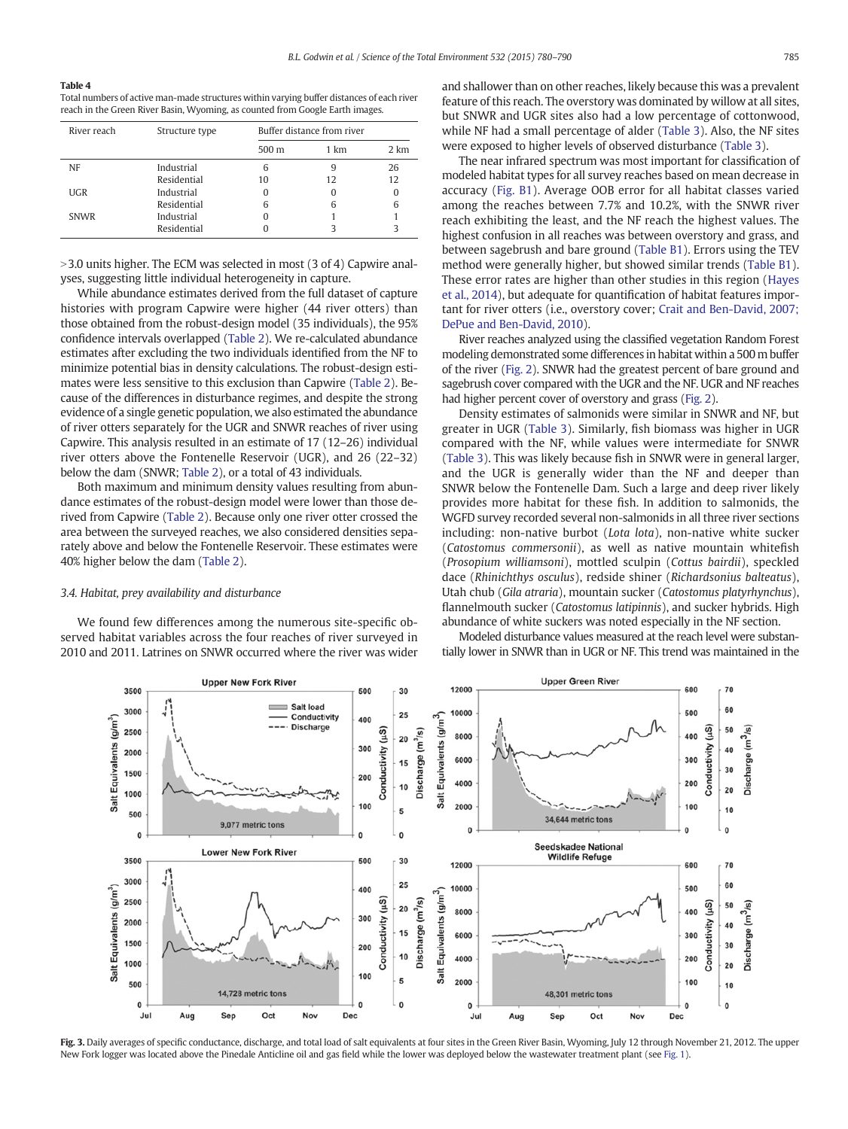#### <span id="page-5-0"></span>Table 4

Total numbers of active man-made structures within varying buffer distances of each river reach in the Green River Basin, Wyoming, as counted from Google Earth images.

| River reach | Structure type | Buffer distance from river |      |      |
|-------------|----------------|----------------------------|------|------|
|             |                | 500 m                      | 1 km | 2 km |
| <b>NF</b>   | Industrial     | 6                          |      | 26   |
|             | Residential    | 10                         | 12   | 12   |
| UGR         | Industrial     |                            |      | 0    |
|             | Residential    | 6                          | 6    | 6    |
| <b>SNWR</b> | Industrial     |                            |      |      |
|             | Residential    |                            |      |      |

 $>$  3.0 units higher. The ECM was selected in most (3 of 4) Capwire analyses, suggesting little individual heterogeneity in capture.

While abundance estimates derived from the full dataset of capture histories with program Capwire were higher (44 river otters) than those obtained from the robust-design model (35 individuals), the 95% confidence intervals overlapped [\(Table 2\)](#page-3-0). We re-calculated abundance estimates after excluding the two individuals identified from the NF to minimize potential bias in density calculations. The robust-design estimates were less sensitive to this exclusion than Capwire ([Table 2](#page-3-0)). Because of the differences in disturbance regimes, and despite the strong evidence of a single genetic population, we also estimated the abundance of river otters separately for the UGR and SNWR reaches of river using Capwire. This analysis resulted in an estimate of 17 (12–26) individual river otters above the Fontenelle Reservoir (UGR), and 26 (22–32) below the dam (SNWR; [Table 2](#page-3-0)), or a total of 43 individuals.

Both maximum and minimum density values resulting from abundance estimates of the robust-design model were lower than those derived from Capwire ([Table 2](#page-3-0)). Because only one river otter crossed the area between the surveyed reaches, we also considered densities separately above and below the Fontenelle Reservoir. These estimates were 40% higher below the dam ([Table 2](#page-3-0)).

# 3.4. Habitat, prey availability and disturbance

We found few differences among the numerous site-specific observed habitat variables across the four reaches of river surveyed in 2010 and 2011. Latrines on SNWR occurred where the river was wider and shallower than on other reaches, likely because this was a prevalent feature of this reach. The overstory was dominated by willow at all sites, but SNWR and UGR sites also had a low percentage of cottonwood, while NF had a small percentage of alder [\(Table 3\)](#page-4-0). Also, the NF sites were exposed to higher levels of observed disturbance [\(Table 3\)](#page-4-0).

The near infrared spectrum was most important for classification of modeled habitat types for all survey reaches based on mean decrease in accuracy [\(Fig. B1](#page-8-0)). Average OOB error for all habitat classes varied among the reaches between 7.7% and 10.2%, with the SNWR river reach exhibiting the least, and the NF reach the highest values. The highest confusion in all reaches was between overstory and grass, and between sagebrush and bare ground ([Table B1\)](#page-8-0). Errors using the TEV method were generally higher, but showed similar trends [\(Table B1](#page-8-0)). These error rates are higher than other studies in this region [\(Hayes](#page-9-0) [et al., 2014](#page-9-0)), but adequate for quantification of habitat features important for river otters (i.e., overstory cover; [Crait and Ben-David, 2007;](#page-9-0) [DePue and Ben-David, 2010\)](#page-9-0).

River reaches analyzed using the classified vegetation Random Forest modeling demonstrated some differences in habitat within a 500 m buffer of the river [\(Fig. 2\)](#page-4-0). SNWR had the greatest percent of bare ground and sagebrush cover compared with the UGR and the NF. UGR and NF reaches had higher percent cover of overstory and grass [\(Fig. 2\)](#page-4-0).

Density estimates of salmonids were similar in SNWR and NF, but greater in UGR ([Table 3](#page-4-0)). Similarly, fish biomass was higher in UGR compared with the NF, while values were intermediate for SNWR [\(Table 3\)](#page-4-0). This was likely because fish in SNWR were in general larger, and the UGR is generally wider than the NF and deeper than SNWR below the Fontenelle Dam. Such a large and deep river likely provides more habitat for these fish. In addition to salmonids, the WGFD survey recorded several non-salmonids in all three river sections including: non-native burbot (Lota lota), non-native white sucker (Catostomus commersonii), as well as native mountain whitefish (Prosopium williamsoni), mottled sculpin (Cottus bairdii), speckled dace (Rhinichthys osculus), redside shiner (Richardsonius balteatus), Utah chub (Gila atraria), mountain sucker (Catostomus platyrhynchus), flannelmouth sucker (Catostomus latipinnis), and sucker hybrids. High abundance of white suckers was noted especially in the NF section.

Modeled disturbance values measured at the reach level were substantially lower in SNWR than in UGR or NF. This trend was maintained in the



Fig. 3. Daily averages of specific conductance, discharge, and total load of salt equivalents at four sites in the Green River Basin, Wyoming, July 12 through November 21, 2012. The upper New Fork logger was located above the Pinedale Anticline oil and gas field while the lower was deployed below the wastewater treatment plant (see [Fig. 1](#page-1-0)).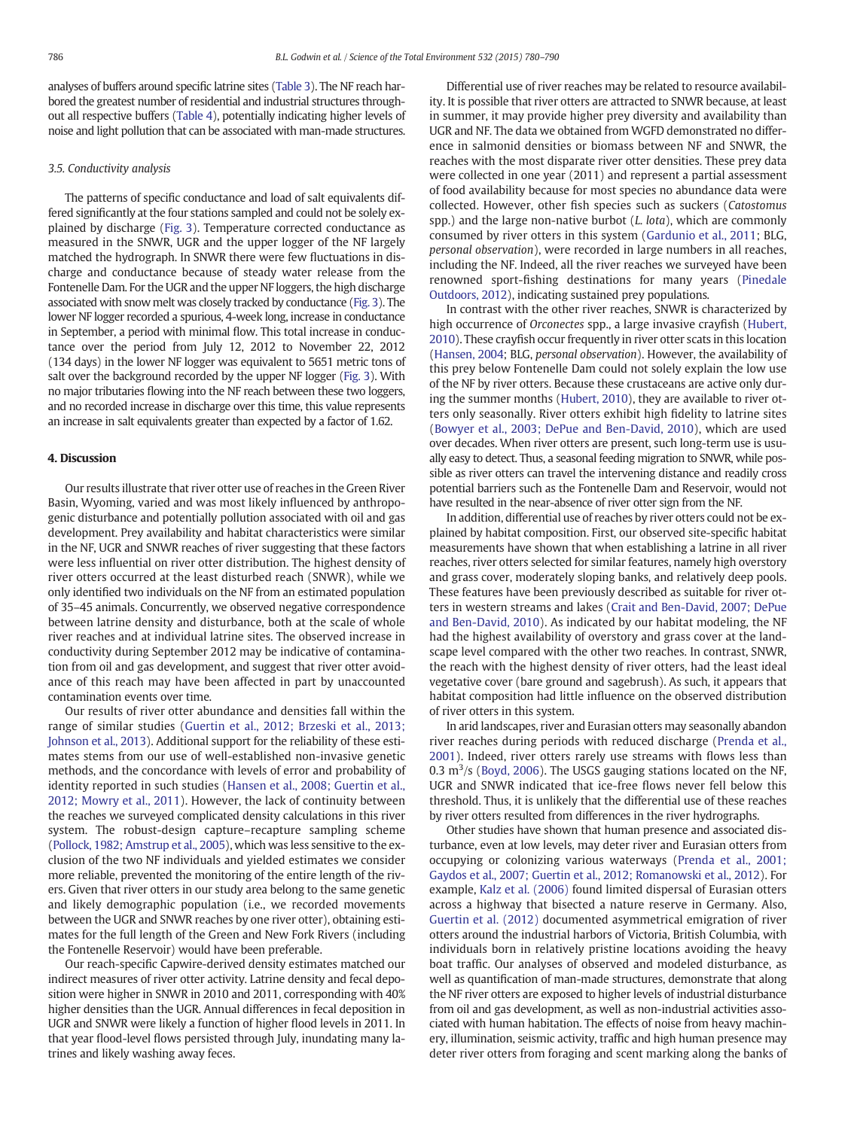analyses of buffers around specific latrine sites [\(Table 3\)](#page-4-0). The NF reach harbored the greatest number of residential and industrial structures throughout all respective buffers [\(Table 4](#page-5-0)), potentially indicating higher levels of noise and light pollution that can be associated with man-made structures.

# 3.5. Conductivity analysis

The patterns of specific conductance and load of salt equivalents differed significantly at the four stations sampled and could not be solely explained by discharge ([Fig. 3](#page-5-0)). Temperature corrected conductance as measured in the SNWR, UGR and the upper logger of the NF largely matched the hydrograph. In SNWR there were few fluctuations in discharge and conductance because of steady water release from the Fontenelle Dam. For the UGR and the upper NF loggers, the high discharge associated with snow melt was closely tracked by conductance [\(Fig. 3\)](#page-5-0). The lower NF logger recorded a spurious, 4-week long, increase in conductance in September, a period with minimal flow. This total increase in conductance over the period from July 12, 2012 to November 22, 2012 (134 days) in the lower NF logger was equivalent to 5651 metric tons of salt over the background recorded by the upper NF logger ([Fig. 3\)](#page-5-0). With no major tributaries flowing into the NF reach between these two loggers, and no recorded increase in discharge over this time, this value represents an increase in salt equivalents greater than expected by a factor of 1.62.

# 4. Discussion

Our results illustrate that river otter use of reaches in the Green River Basin, Wyoming, varied and was most likely influenced by anthropogenic disturbance and potentially pollution associated with oil and gas development. Prey availability and habitat characteristics were similar in the NF, UGR and SNWR reaches of river suggesting that these factors were less influential on river otter distribution. The highest density of river otters occurred at the least disturbed reach (SNWR), while we only identified two individuals on the NF from an estimated population of 35–45 animals. Concurrently, we observed negative correspondence between latrine density and disturbance, both at the scale of whole river reaches and at individual latrine sites. The observed increase in conductivity during September 2012 may be indicative of contamination from oil and gas development, and suggest that river otter avoidance of this reach may have been affected in part by unaccounted contamination events over time.

Our results of river otter abundance and densities fall within the range of similar studies ([Guertin et al., 2012; Brzeski et al., 2013;](#page-9-0) [Johnson et al., 2013\)](#page-9-0). Additional support for the reliability of these estimates stems from our use of well-established non-invasive genetic methods, and the concordance with levels of error and probability of identity reported in such studies ([Hansen et al., 2008; Guertin et al.,](#page-9-0) [2012; Mowry et al., 2011\)](#page-9-0). However, the lack of continuity between the reaches we surveyed complicated density calculations in this river system. The robust-design capture–recapture sampling scheme [\(Pollock, 1982; Amstrup et al., 2005](#page-9-0)), which was less sensitive to the exclusion of the two NF individuals and yielded estimates we consider more reliable, prevented the monitoring of the entire length of the rivers. Given that river otters in our study area belong to the same genetic and likely demographic population (i.e., we recorded movements between the UGR and SNWR reaches by one river otter), obtaining estimates for the full length of the Green and New Fork Rivers (including the Fontenelle Reservoir) would have been preferable.

Our reach-specific Capwire-derived density estimates matched our indirect measures of river otter activity. Latrine density and fecal deposition were higher in SNWR in 2010 and 2011, corresponding with 40% higher densities than the UGR. Annual differences in fecal deposition in UGR and SNWR were likely a function of higher flood levels in 2011. In that year flood-level flows persisted through July, inundating many latrines and likely washing away feces.

Differential use of river reaches may be related to resource availability. It is possible that river otters are attracted to SNWR because, at least in summer, it may provide higher prey diversity and availability than UGR and NF. The data we obtained from WGFD demonstrated no difference in salmonid densities or biomass between NF and SNWR, the reaches with the most disparate river otter densities. These prey data were collected in one year (2011) and represent a partial assessment of food availability because for most species no abundance data were collected. However, other fish species such as suckers (Catostomus spp.) and the large non-native burbot  $(L. \text{ *lota*})$ , which are commonly consumed by river otters in this system [\(Gardunio et al., 2011](#page-9-0); BLG, personal observation), were recorded in large numbers in all reaches, including the NF. Indeed, all the river reaches we surveyed have been renowned sport-fishing destinations for many years [\(Pinedale](#page-9-0) [Outdoors, 2012](#page-9-0)), indicating sustained prey populations.

In contrast with the other river reaches, SNWR is characterized by high occurrence of Orconectes spp., a large invasive crayfish [\(Hubert,](#page-9-0) [2010\)](#page-9-0). These crayfish occur frequently in river otter scats in this location [\(Hansen, 2004;](#page-9-0) BLG, personal observation). However, the availability of this prey below Fontenelle Dam could not solely explain the low use of the NF by river otters. Because these crustaceans are active only during the summer months [\(Hubert, 2010](#page-9-0)), they are available to river otters only seasonally. River otters exhibit high fidelity to latrine sites [\(Bowyer et al., 2003; DePue and Ben-David, 2010](#page-9-0)), which are used over decades. When river otters are present, such long-term use is usually easy to detect. Thus, a seasonal feeding migration to SNWR, while possible as river otters can travel the intervening distance and readily cross potential barriers such as the Fontenelle Dam and Reservoir, would not have resulted in the near-absence of river otter sign from the NF.

In addition, differential use of reaches by river otters could not be explained by habitat composition. First, our observed site-specific habitat measurements have shown that when establishing a latrine in all river reaches, river otters selected for similar features, namely high overstory and grass cover, moderately sloping banks, and relatively deep pools. These features have been previously described as suitable for river otters in western streams and lakes [\(Crait and Ben-David, 2007; DePue](#page-9-0) [and Ben-David, 2010](#page-9-0)). As indicated by our habitat modeling, the NF had the highest availability of overstory and grass cover at the landscape level compared with the other two reaches. In contrast, SNWR, the reach with the highest density of river otters, had the least ideal vegetative cover (bare ground and sagebrush). As such, it appears that habitat composition had little influence on the observed distribution of river otters in this system.

In arid landscapes, river and Eurasian otters may seasonally abandon river reaches during periods with reduced discharge [\(Prenda et al.,](#page-9-0) [2001](#page-9-0)). Indeed, river otters rarely use streams with flows less than 0.3  $\mathrm{m}^3$ /s [\(Boyd, 2006\)](#page-9-0). The USGS gauging stations located on the NF, UGR and SNWR indicated that ice-free flows never fell below this threshold. Thus, it is unlikely that the differential use of these reaches by river otters resulted from differences in the river hydrographs.

Other studies have shown that human presence and associated disturbance, even at low levels, may deter river and Eurasian otters from occupying or colonizing various waterways [\(Prenda et al., 2001;](#page-9-0) [Gaydos et al., 2007; Guertin et al., 2012; Romanowski et al., 2012\)](#page-9-0). For example, [Kalz et al. \(2006\)](#page-9-0) found limited dispersal of Eurasian otters across a highway that bisected a nature reserve in Germany. Also, [Guertin et al. \(2012\)](#page-9-0) documented asymmetrical emigration of river otters around the industrial harbors of Victoria, British Columbia, with individuals born in relatively pristine locations avoiding the heavy boat traffic. Our analyses of observed and modeled disturbance, as well as quantification of man-made structures, demonstrate that along the NF river otters are exposed to higher levels of industrial disturbance from oil and gas development, as well as non-industrial activities associated with human habitation. The effects of noise from heavy machinery, illumination, seismic activity, traffic and high human presence may deter river otters from foraging and scent marking along the banks of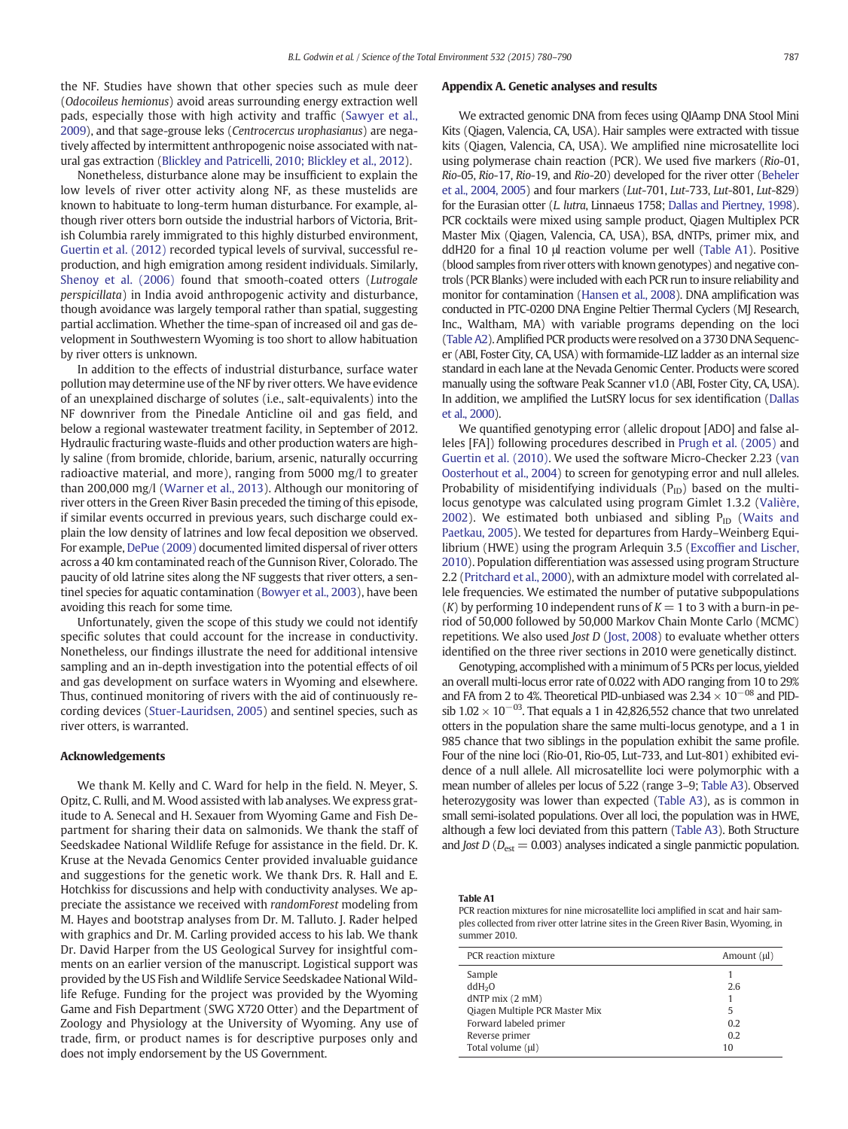<span id="page-7-0"></span>the NF. Studies have shown that other species such as mule deer (Odocoileus hemionus) avoid areas surrounding energy extraction well pads, especially those with high activity and traffic ([Sawyer et al.,](#page-9-0) [2009](#page-9-0)), and that sage-grouse leks (Centrocercus urophasianus) are negatively affected by intermittent anthropogenic noise associated with natural gas extraction ([Blickley and Patricelli, 2010; Blickley et al., 2012](#page-9-0)).

Nonetheless, disturbance alone may be insufficient to explain the low levels of river otter activity along NF, as these mustelids are known to habituate to long-term human disturbance. For example, although river otters born outside the industrial harbors of Victoria, British Columbia rarely immigrated to this highly disturbed environment, [Guertin et al. \(2012\)](#page-9-0) recorded typical levels of survival, successful reproduction, and high emigration among resident individuals. Similarly, [Shenoy et al. \(2006\)](#page-9-0) found that smooth-coated otters (Lutrogale perspicillata) in India avoid anthropogenic activity and disturbance, though avoidance was largely temporal rather than spatial, suggesting partial acclimation. Whether the time-span of increased oil and gas development in Southwestern Wyoming is too short to allow habituation by river otters is unknown.

In addition to the effects of industrial disturbance, surface water pollution may determine use of the NF by river otters. We have evidence of an unexplained discharge of solutes (i.e., salt-equivalents) into the NF downriver from the Pinedale Anticline oil and gas field, and below a regional wastewater treatment facility, in September of 2012. Hydraulic fracturing waste-fluids and other production waters are highly saline (from bromide, chloride, barium, arsenic, naturally occurring radioactive material, and more), ranging from 5000 mg/l to greater than 200,000 mg/l [\(Warner et al., 2013](#page-10-0)). Although our monitoring of river otters in the Green River Basin preceded the timing of this episode, if similar events occurred in previous years, such discharge could explain the low density of latrines and low fecal deposition we observed. For example, [DePue \(2009\)](#page-9-0) documented limited dispersal of river otters across a 40 km contaminated reach of the Gunnison River, Colorado. The paucity of old latrine sites along the NF suggests that river otters, a sentinel species for aquatic contamination ([Bowyer et al., 2003\)](#page-9-0), have been avoiding this reach for some time.

Unfortunately, given the scope of this study we could not identify specific solutes that could account for the increase in conductivity. Nonetheless, our findings illustrate the need for additional intensive sampling and an in-depth investigation into the potential effects of oil and gas development on surface waters in Wyoming and elsewhere. Thus, continued monitoring of rivers with the aid of continuously recording devices ([Stuer-Lauridsen, 2005\)](#page-9-0) and sentinel species, such as river otters, is warranted.

# Acknowledgements

We thank M. Kelly and C. Ward for help in the field. N. Meyer, S. Opitz, C. Rulli, and M. Wood assisted with lab analyses. We express gratitude to A. Senecal and H. Sexauer from Wyoming Game and Fish Department for sharing their data on salmonids. We thank the staff of Seedskadee National Wildlife Refuge for assistance in the field. Dr. K. Kruse at the Nevada Genomics Center provided invaluable guidance and suggestions for the genetic work. We thank Drs. R. Hall and E. Hotchkiss for discussions and help with conductivity analyses. We appreciate the assistance we received with randomForest modeling from M. Hayes and bootstrap analyses from Dr. M. Talluto. J. Rader helped with graphics and Dr. M. Carling provided access to his lab. We thank Dr. David Harper from the US Geological Survey for insightful comments on an earlier version of the manuscript. Logistical support was provided by the US Fish and Wildlife Service Seedskadee National Wildlife Refuge. Funding for the project was provided by the Wyoming Game and Fish Department (SWG X720 Otter) and the Department of Zoology and Physiology at the University of Wyoming. Any use of trade, firm, or product names is for descriptive purposes only and does not imply endorsement by the US Government.

### Appendix A. Genetic analyses and results

We extracted genomic DNA from feces using QIAamp DNA Stool Mini Kits (Qiagen, Valencia, CA, USA). Hair samples were extracted with tissue kits (Qiagen, Valencia, CA, USA). We amplified nine microsatellite loci using polymerase chain reaction (PCR). We used five markers (Rio-01, Rio-05, Rio-17, Rio-19, and Rio-20) developed for the river otter [\(Beheler](#page-9-0) [et al., 2004, 2005](#page-9-0)) and four markers (Lut-701, Lut-733, Lut-801, Lut-829) for the Eurasian otter (L. lutra, Linnaeus 1758; [Dallas and Piertney, 1998](#page-9-0)). PCR cocktails were mixed using sample product, Qiagen Multiplex PCR Master Mix (Qiagen, Valencia, CA, USA), BSA, dNTPs, primer mix, and ddH20 for a final 10 μl reaction volume per well (Table A1). Positive (blood samples from river otters with known genotypes) and negative controls (PCR Blanks) were included with each PCR run to insure reliability and monitor for contamination ([Hansen et al., 2008\)](#page-9-0). DNA amplification was conducted in PTC-0200 DNA Engine Peltier Thermal Cyclers (MJ Research, Inc., Waltham, MA) with variable programs depending on the loci [\(Table A2\)](#page-8-0). Amplified PCR products were resolved on a 3730 DNA Sequencer (ABI, Foster City, CA, USA) with formamide-LIZ ladder as an internal size standard in each lane at the Nevada Genomic Center. Products were scored manually using the software Peak Scanner v1.0 (ABI, Foster City, CA, USA). In addition, we amplified the LutSRY locus for sex identification [\(Dallas](#page-9-0) [et al., 2000](#page-9-0)).

We quantified genotyping error (allelic dropout [ADO] and false alleles [FA]) following procedures described in [Prugh et al. \(2005\)](#page-9-0) and [Guertin et al. \(2010\)](#page-9-0). We used the software Micro-Checker 2.23 [\(van](#page-10-0) [Oosterhout et al., 2004](#page-10-0)) to screen for genotyping error and null alleles. Probability of misidentifying individuals  $(P_{ID})$  based on the multilocus genotype was calculated using program Gimlet 1.3.2 ([Valière,](#page-10-0) [2002\)](#page-10-0). We estimated both unbiased and sibling  $P_{ID}$  ([Waits and](#page-10-0) [Paetkau, 2005\)](#page-10-0). We tested for departures from Hardy–Weinberg Equilibrium (HWE) using the program Arlequin 3.5 (Excoffi[er and Lischer,](#page-9-0) [2010](#page-9-0)). Population differentiation was assessed using program Structure 2.2 [\(Pritchard et al., 2000](#page-9-0)), with an admixture model with correlated allele frequencies. We estimated the number of putative subpopulations (*K*) by performing 10 independent runs of  $K = 1$  to 3 with a burn-in period of 50,000 followed by 50,000 Markov Chain Monte Carlo (MCMC) repetitions. We also used Jost D [\(Jost, 2008\)](#page-9-0) to evaluate whether otters identified on the three river sections in 2010 were genetically distinct.

Genotyping, accomplished with a minimum of 5 PCRs per locus, yielded an overall multi-locus error rate of 0.022 with ADO ranging from 10 to 29% and FA from 2 to 4%. Theoretical PID-unbiased was  $2.34 \times 10^{-08}$  and PIDsib  $1.02 \times 10^{-03}$ . That equals a 1 in 42,826,552 chance that two unrelated otters in the population share the same multi-locus genotype, and a 1 in 985 chance that two siblings in the population exhibit the same profile. Four of the nine loci (Rio-01, Rio-05, Lut-733, and Lut-801) exhibited evidence of a null allele. All microsatellite loci were polymorphic with a mean number of alleles per locus of 5.22 (range 3–9; [Table A3](#page-8-0)). Observed heterozygosity was lower than expected ([Table A3\)](#page-8-0), as is common in small semi-isolated populations. Over all loci, the population was in HWE, although a few loci deviated from this pattern ([Table A3](#page-8-0)). Both Structure and Jost D ( $D_{\text{est}} = 0.003$ ) analyses indicated a single panmictic population.

Table A1

PCR reaction mixtures for nine microsatellite loci amplified in scat and hair samples collected from river otter latrine sites in the Green River Basin, Wyoming, in summer 2010.

| PCR reaction mixture           | Amount $(\mu)$ |
|--------------------------------|----------------|
| Sample                         |                |
| ddH <sub>2</sub> O             | 2.6            |
| $dNTP$ mix $(2$ mM $)$         |                |
| Qiagen Multiple PCR Master Mix | 5              |
| Forward labeled primer         | 0.2            |
| Reverse primer                 | 0.2            |
| Total volume (µl)              | 10             |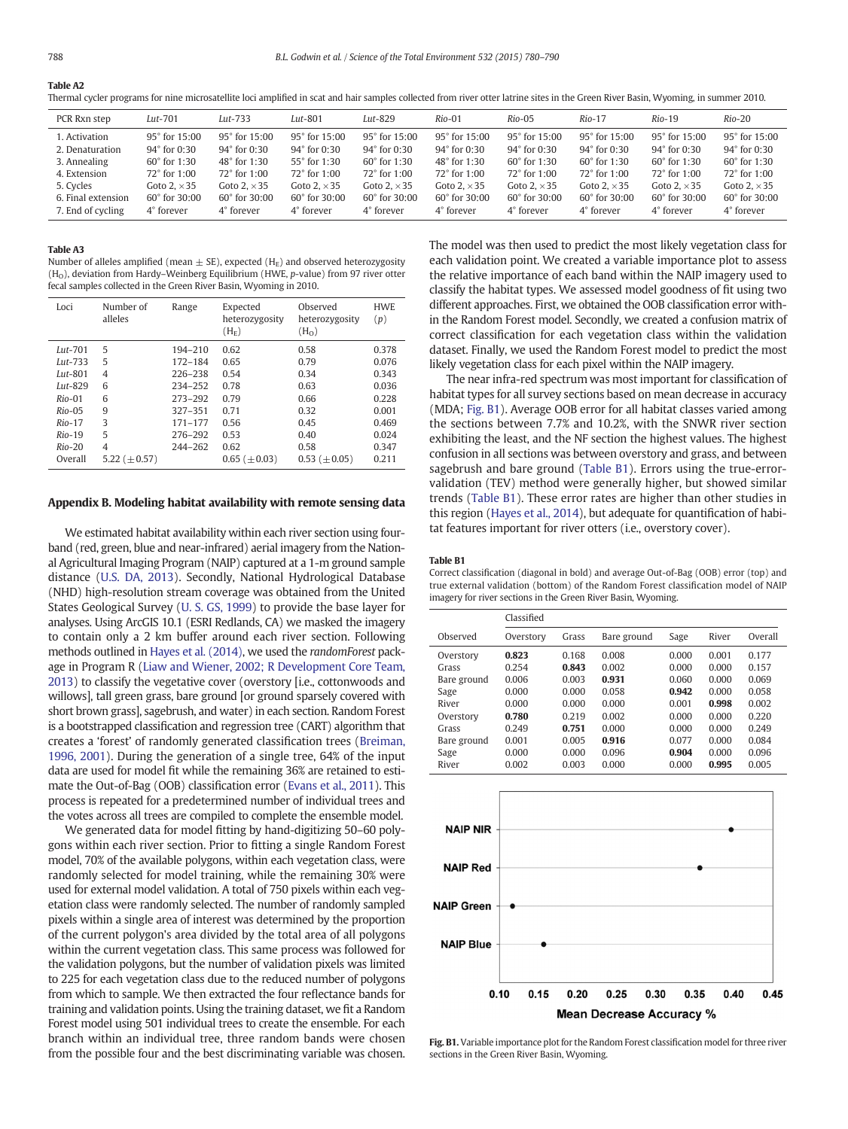<span id="page-8-0"></span>Table A2

Thermal cycler programs for nine microsatellite loci amplified in scat and hair samples collected from river otter latrine sites in the Green River Basin, Wyoming, in summer 2010.

| PCR Rxn step       | Lut-701                  | Lut-733                  | $Lut-801$                | Lut-829                  | Rio-01                   | $Rio-05$                 | $Rio-17$                 | $Rio-19$                 | $Rio-20$                 |
|--------------------|--------------------------|--------------------------|--------------------------|--------------------------|--------------------------|--------------------------|--------------------------|--------------------------|--------------------------|
| 1. Activation      | $95^{\circ}$ for $15:00$ | $95^{\circ}$ for $15:00$ | $95^{\circ}$ for $15:00$ | $95^{\circ}$ for $15:00$ | $95^{\circ}$ for $15:00$ | $95^{\circ}$ for $15:00$ | $95^{\circ}$ for $15:00$ | $95^{\circ}$ for $15:00$ | $95^{\circ}$ for $15:00$ |
| 2. Denaturation    | $94^{\circ}$ for 0:30    | 94° for 0:30             | 94° for 0:30             | $94^{\circ}$ for 0:30    | $94^{\circ}$ for 0:30    | $94^{\circ}$ for 0:30    | $94^{\circ}$ for 0:30    | $94^{\circ}$ for 0:30    | $94^{\circ}$ for 0:30    |
| 3. Annealing       | 60° for 1:30             | 48° for 1:30             | 55° for 1:30             | $60^{\circ}$ for 1:30    | 48° for 1:30             | $60^\circ$ for 1:30      | $60^{\circ}$ for 1:30    | $60^{\circ}$ for 1:30    | $60^{\circ}$ for 1:30    |
| 4. Extension       | 72° for 1:00             | $72^{\circ}$ for $1:00$  | 72° for 1:00             | $72^\circ$ for 1:00      | 72° for 1:00             | 72° for 1:00             | $72^{\circ}$ for 1:00    | 72° for 1:00             | 72° for 1:00             |
| 5. Cycles          | Goto $2 \times 35$       | Goto 2. $\times$ 35      | Goto 2. $\times$ 35      | Goto $2 \times 35$       | Goto 2. $\times$ 35      | Goto 2. $\times$ 35      | Goto $2 \times 35$       | Goto $2 \times 35$       | Goto 2. $\times$ 35      |
| 6. Final extension | $60^{\circ}$ for $30:00$ | $60^{\circ}$ for $30:00$ | $60^{\circ}$ for $30:00$ | $60^{\circ}$ for $30:00$ | $60^{\circ}$ for $30:00$ | $60^{\circ}$ for $30:00$ | $60^{\circ}$ for $30:00$ | $60^{\circ}$ for $30:00$ | $60^{\circ}$ for $30:00$ |
| 7. End of cycling  | 4° forever               | 4° forever               | 4° forever               | 4° forever               | 4° forever               | 4° forever               | $4^\circ$ forever        | 4° forever               | 4° forever               |

#### Table A3

Number of alleles amplified (mean  $\pm$  SE), expected (H<sub>E</sub>) and observed heterozygosity  $(H<sub>o</sub>)$ , deviation from Hardy–Weinberg Equilibrium (HWE, p-value) from 97 river otter fecal samples collected in the Green River Basin, Wyoming in 2010.

| Loci       | Number of<br>alleles | Range       | Expected<br>heterozygosity<br>$(H_F)$ | Observed<br>heterozygosity<br>(H <sub>0</sub> ) | <b>HWE</b><br>(p) |
|------------|----------------------|-------------|---------------------------------------|-------------------------------------------------|-------------------|
| $Lut$ -701 | 5                    | 194-210     | 0.62                                  | 0.58                                            | 0.378             |
| $Lut-733$  | 5                    | 172-184     | 0.65                                  | 0.79                                            | 0.076             |
| $Lut-801$  | $\overline{4}$       | 226-238     | 0.54                                  | 0.34                                            | 0.343             |
| $Lut-829$  | 6                    | 234-252     | 0.78                                  | 0.63                                            | 0.036             |
| $Rio-01$   | 6                    | 273-292     | 0.79                                  | 0.66                                            | 0.228             |
| $Rio-05$   | 9                    | $327 - 351$ | 0.71                                  | 0.32                                            | 0.001             |
| $Rio-17$   | 3                    | 171-177     | 0.56                                  | 0.45                                            | 0.469             |
| $Rio-19$   | 5                    | 276-292     | 0.53                                  | 0.40                                            | 0.024             |
| $Rio-20$   | $\overline{4}$       | 244-262     | 0.62                                  | 0.58                                            | 0.347             |
| Overall    | 5.22 $(\pm 0.57)$    |             | $0.65$ ( $\pm$ 0.03)                  | $0.53~(\pm 0.05)$                               | 0.211             |

# Appendix B. Modeling habitat availability with remote sensing data

We estimated habitat availability within each river section using fourband (red, green, blue and near-infrared) aerial imagery from the National Agricultural Imaging Program (NAIP) captured at a 1-m ground sample distance ([U.S. DA, 2013](#page-10-0)). Secondly, National Hydrological Database (NHD) high-resolution stream coverage was obtained from the United States Geological Survey [\(U. S. GS, 1999\)](#page-10-0) to provide the base layer for analyses. Using ArcGIS 10.1 (ESRI Redlands, CA) we masked the imagery to contain only a 2 km buffer around each river section. Following methods outlined in [Hayes et al. \(2014\)](#page-9-0), we used the randomForest package in Program R ([Liaw and Wiener, 2002; R Development Core Team,](#page-9-0) [2013](#page-9-0)) to classify the vegetative cover (overstory [i.e., cottonwoods and willows], tall green grass, bare ground [or ground sparsely covered with short brown grass], sagebrush, and water) in each section. Random Forest is a bootstrapped classification and regression tree (CART) algorithm that creates a 'forest' of randomly generated classification trees ([Breiman,](#page-9-0) [1996, 2001](#page-9-0)). During the generation of a single tree, 64% of the input data are used for model fit while the remaining 36% are retained to estimate the Out-of-Bag (OOB) classification error [\(Evans et al., 2011](#page-9-0)). This process is repeated for a predetermined number of individual trees and the votes across all trees are compiled to complete the ensemble model.

We generated data for model fitting by hand-digitizing 50–60 polygons within each river section. Prior to fitting a single Random Forest model, 70% of the available polygons, within each vegetation class, were randomly selected for model training, while the remaining 30% were used for external model validation. A total of 750 pixels within each vegetation class were randomly selected. The number of randomly sampled pixels within a single area of interest was determined by the proportion of the current polygon's area divided by the total area of all polygons within the current vegetation class. This same process was followed for the validation polygons, but the number of validation pixels was limited to 225 for each vegetation class due to the reduced number of polygons from which to sample. We then extracted the four reflectance bands for training and validation points. Using the training dataset, we fit a Random Forest model using 501 individual trees to create the ensemble. For each branch within an individual tree, three random bands were chosen from the possible four and the best discriminating variable was chosen. The model was then used to predict the most likely vegetation class for each validation point. We created a variable importance plot to assess the relative importance of each band within the NAIP imagery used to classify the habitat types. We assessed model goodness of fit using two different approaches. First, we obtained the OOB classification error within the Random Forest model. Secondly, we created a confusion matrix of correct classification for each vegetation class within the validation dataset. Finally, we used the Random Forest model to predict the most likely vegetation class for each pixel within the NAIP imagery.

The near infra-red spectrum was most important for classification of habitat types for all survey sections based on mean decrease in accuracy (MDA; Fig. B1). Average OOB error for all habitat classes varied among the sections between 7.7% and 10.2%, with the SNWR river section exhibiting the least, and the NF section the highest values. The highest confusion in all sections was between overstory and grass, and between sagebrush and bare ground (Table B1). Errors using the true-errorvalidation (TEV) method were generally higher, but showed similar trends (Table B1). These error rates are higher than other studies in this region [\(Hayes et al., 2014\)](#page-9-0), but adequate for quantification of habitat features important for river otters (i.e., overstory cover).

#### Table B1

Correct classification (diagonal in bold) and average Out-of-Bag (OOB) error (top) and true external validation (bottom) of the Random Forest classification model of NAIP imagery for river sections in the Green River Basin, Wyoming.

|             | Classified |       |             |       |       |         |
|-------------|------------|-------|-------------|-------|-------|---------|
| Observed    | Overstory  | Grass | Bare ground | Sage  | River | Overall |
| Overstory   | 0.823      | 0.168 | 0.008       | 0.000 | 0.001 | 0.177   |
| Grass       | 0.254      | 0.843 | 0.002       | 0.000 | 0.000 | 0.157   |
| Bare ground | 0.006      | 0.003 | 0.931       | 0.060 | 0.000 | 0.069   |
| Sage        | 0.000      | 0.000 | 0.058       | 0.942 | 0.000 | 0.058   |
| River       | 0.000      | 0.000 | 0.000       | 0.001 | 0.998 | 0.002   |
| Overstory   | 0.780      | 0.219 | 0.002       | 0.000 | 0.000 | 0.220   |
| Grass       | 0.249      | 0.751 | 0.000       | 0.000 | 0.000 | 0.249   |
| Bare ground | 0.001      | 0.005 | 0.916       | 0.077 | 0.000 | 0.084   |
| Sage        | 0.000      | 0.000 | 0.096       | 0.904 | 0.000 | 0.096   |
| River       | 0.002      | 0.003 | 0.000       | 0.000 | 0.995 | 0.005   |
|             |            |       |             |       |       |         |



Fig. B1. Variable importance plot for the Random Forest classification model for three river sections in the Green River Basin, Wyoming.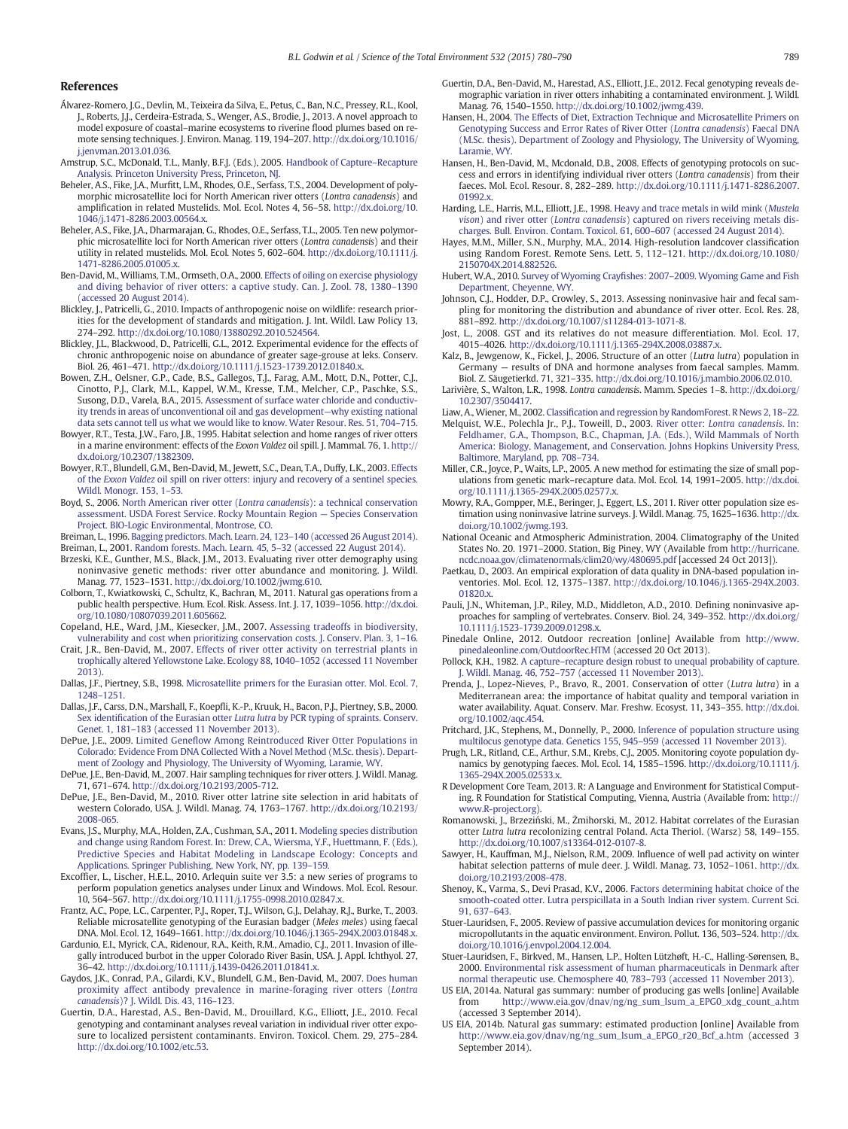### <span id="page-9-0"></span>References

- Álvarez-Romero, J.G., Devlin, M., Teixeira da Silva, E., Petus, C., Ban, N.C., Pressey, R.L., Kool, J., Roberts, J.J., Cerdeira-Estrada, S., Wenger, A.S., Brodie, J., 2013. A novel approach to model exposure of coastal–marine ecosystems to riverine flood plumes based on remote sensing techniques. J. Environ. Manag. 119, 194–207. http://dx.doi.org/[10.1016/](http://dx.doi.org/10.1016/j.jenvman.2013.01.036) [j.jenvman.2013.01.036.](http://dx.doi.org/10.1016/j.jenvman.2013.01.036)
- Amstrup, S.C., McDonald, T.L., Manly, B.F.J. (Eds.), 2005. [Handbook of Capture](http://refhub.elsevier.com/S0048-9697(15)30255-2/rf0010)–Recapture [Analysis. Princeton University Press, Princeton, NJ.](http://refhub.elsevier.com/S0048-9697(15)30255-2/rf0010)
- Beheler, A.S., Fike, J.A., Murfitt, L.M., Rhodes, O.E., Serfass, T.S., 2004. Development of polymorphic microsatellite loci for North American river otters (Lontra canadensis) and amplification in related Mustelids. Mol. Ecol. Notes 4, 56–58. http://dx.doi.org/[10.](http://dx.doi.org/10.1046/j.1471-8286.2003.00564.x) [1046/j.1471-8286.2003.00564.x.](http://dx.doi.org/10.1046/j.1471-8286.2003.00564.x)
- Beheler, A.S., Fike, J.A., Dharmarajan, G., Rhodes, O.E., Serfass, T.L., 2005. Ten new polymorphic microsatellite loci for North American river otters (Lontra canadensis) and their utility in related mustelids. Mol. Ecol. Notes 5, 602–604. http://dx.doi.org[/10.1111/j.](http://dx.doi.org/10.1111/j.1471-8286.2005.01005.x) [1471-8286.2005.01005.x.](http://dx.doi.org/10.1111/j.1471-8286.2005.01005.x)
- Ben-David, M., Williams, T.M., Ormseth, O.A., 2000. [Effects of oiling on exercise physiology](http://refhub.elsevier.com/S0048-9697(15)30255-2/rf0025) [and diving behavior of river otters: a captive study. Can. J. Zool. 78, 1380](http://refhub.elsevier.com/S0048-9697(15)30255-2/rf0025)–1390 [\(accessed 20 August 2014\)](http://refhub.elsevier.com/S0048-9697(15)30255-2/rf0025).
- Blickley, J., Patricelli, G., 2010. Impacts of anthropogenic noise on wildlife: research priorities for the development of standards and mitigation. J. Int. Wildl. Law Policy 13, 274–292. http://dx.doi.org[/10.1080/13880292.2010.524564](http://dx.doi.org/10.1080/13880292.2010.524564).
- Blickley, J.L., Blackwood, D., Patricelli, G.L., 2012. Experimental evidence for the effects of chronic anthropogenic noise on abundance of greater sage-grouse at leks. Conserv. Biol. 26, 461–471. http://dx.doi.org/[10.1111/j.1523-1739.2012.01840.x](http://dx.doi.org/10.1111/j.1523-1739.2012.01840.x).
- Bowen, Z.H., Oelsner, G.P., Cade, B.S., Gallegos, T.J., Farag, A.M., Mott, D.N., Potter, C.J., Cinotto, P.J., Clark, M.L., Kappel, W.M., Kresse, T.M., Melcher, C.P., Paschke, S.S., Susong, D.D., Varela, B.A., 2015. [Assessment of surface water chloride and conductiv](http://refhub.elsevier.com/S0048-9697(15)30255-2/rf0040)[ity trends in areas of unconventional oil and gas development](http://refhub.elsevier.com/S0048-9697(15)30255-2/rf0040)—why existing national [data sets cannot tell us what we would like to know. Water Resour. Res. 51, 704](http://refhub.elsevier.com/S0048-9697(15)30255-2/rf0040)–715.
- Bowyer, R.T., Testa, J.W., Faro, J.B., 1995. Habitat selection and home ranges of river otters in a marine environment: effects of the Exxon Valdez oil spill. J. Mammal. 76, 1. http:// dx.doi.org/[10.2307/1382309.](http://dx.doi.org/10.2307/1382309)
- Bowyer, R.T., Blundell, G.M., Ben-David, M., Jewett, S.C., Dean, T.A., Duffy, L.K., 2003. [Effects](http://refhub.elsevier.com/S0048-9697(15)30255-2/rf0045) of the Exxon Valdez [oil spill on river otters: injury and recovery of a sentinel species.](http://refhub.elsevier.com/S0048-9697(15)30255-2/rf0045) [Wildl. Monogr. 153, 1](http://refhub.elsevier.com/S0048-9697(15)30255-2/rf0045)–53.
- Boyd, S., 2006. [North American river otter \(](http://refhub.elsevier.com/S0048-9697(15)30255-2/rf0325)Lontra canadensis): a technical conservation [assessment. USDA Forest Service. Rocky Mountain Region](http://refhub.elsevier.com/S0048-9697(15)30255-2/rf0325) — Species Conservation [Project. BIO-Logic Environmental, Montrose, CO.](http://refhub.elsevier.com/S0048-9697(15)30255-2/rf0325)
- Breiman, L., 1996. [Bagging predictors. Mach. Learn. 24, 123](http://refhub.elsevier.com/S0048-9697(15)30255-2/rf0060)–140 (accessed 26 August 2014).
- Breiman, L., 2001. [Random forests. Mach. Learn. 45, 5](http://refhub.elsevier.com/S0048-9697(15)30255-2/rf0065)–32 (accessed 22 August 2014).
- Brzeski, K.E., Gunther, M.S., Black, J.M., 2013. Evaluating river otter demography using noninvasive genetic methods: river otter abundance and monitoring. J. Wildl. Manag. 77, 1523–1531. http://dx.doi.org[/10.1002/jwmg.610.](http://dx.doi.org/10.1002/jwmg.610)
- Colborn, T., Kwiatkowski, C., Schultz, K., Bachran, M., 2011. Natural gas operations from a public health perspective. Hum. Ecol. Risk. Assess. Int. J. 17, 1039–1056. http://dx.doi. org[/10.1080/10807039.2011.605662.](http://dx.doi.org/10.1080/10807039.2011.605662)
- Copeland, H.E., Ward, J.M., Kiesecker, J.M., 2007. [Assessing tradeoffs in biodiversity,](http://refhub.elsevier.com/S0048-9697(15)30255-2/rf0330) [vulnerability and cost when prioritizing conservation costs. J. Conserv. Plan. 3, 1](http://refhub.elsevier.com/S0048-9697(15)30255-2/rf0330)–16.
- Crait, J.R., Ben-David, M., 2007. [Effects of river otter activity on terrestrial plants in](http://refhub.elsevier.com/S0048-9697(15)30255-2/rf0085) [trophically altered Yellowstone Lake. Ecology 88, 1040](http://refhub.elsevier.com/S0048-9697(15)30255-2/rf0085)–1052 (accessed 11 November [2013\)](http://refhub.elsevier.com/S0048-9697(15)30255-2/rf0085).
- Dallas, J.F., Piertney, S.B., 1998. [Microsatellite primers for the Eurasian otter. Mol. Ecol. 7,](http://refhub.elsevier.com/S0048-9697(15)30255-2/rf0090) [1248](http://refhub.elsevier.com/S0048-9697(15)30255-2/rf0090)–1251.
- Dallas, J.F., Carss, D.N., Marshall, F., Koepfli, K.-P., Kruuk, H., Bacon, P.J., Piertney, S.B., 2000. Sex identification of the Eurasian otter Lutra lutra [by PCR typing of spraints. Conserv.](http://refhub.elsevier.com/S0048-9697(15)30255-2/rf0095) Genet. 1, 181–[183 \(accessed 11 November 2013\).](http://refhub.elsevier.com/S0048-9697(15)30255-2/rf0095)
- DePue, J.E., 2009. Limited Genefl[ow Among Reintroduced River Otter Populations in](http://refhub.elsevier.com/S0048-9697(15)30255-2/rf0335) [Colorado: Evidence From DNA Collected With a Novel Method \(M.Sc. thesis\). Depart](http://refhub.elsevier.com/S0048-9697(15)30255-2/rf0335)[ment of Zoology and Physiology, The University of Wyoming, Laramie, WY](http://refhub.elsevier.com/S0048-9697(15)30255-2/rf0335).
- DePue, J.E., Ben-David, M., 2007. Hair sampling techniques for river otters. J. Wildl. Manag. 71, 671–674. http://dx.doi.org/[10.2193/2005-712](http://dx.doi.org/10.2193/2005-712).
- DePue, J.E., Ben-David, M., 2010. River otter latrine site selection in arid habitats of western Colorado, USA. J. Wildl. Manag. 74, 1763–1767. http://dx.doi.org[/10.2193/](http://dx.doi.org/10.2193/2008-065) [2008-065.](http://dx.doi.org/10.2193/2008-065)
- Evans, J.S., Murphy, M.A., Holden, Z.A., Cushman, S.A., 2011. [Modeling species distribution](http://refhub.elsevier.com/S0048-9697(15)30255-2/rf0340) [and change using Random Forest. In: Drew, C.A., Wiersma, Y.F., Huettmann, F. \(Eds.\),](http://refhub.elsevier.com/S0048-9697(15)30255-2/rf0340) [Predictive Species and Habitat Modeling in Landscape Ecology: Concepts and](http://refhub.elsevier.com/S0048-9697(15)30255-2/rf0340) [Applications. Springer Publishing, New York, NY, pp. 139](http://refhub.elsevier.com/S0048-9697(15)30255-2/rf0340)–159.
- Excoffier, L., Lischer, H.E.L., 2010. Arlequin suite ver 3.5: a new series of programs to perform population genetics analyses under Linux and Windows. Mol. Ecol. Resour. 10, 564–567. http://dx.doi.org/[10.1111/j.1755-0998.2010.02847.x](http://dx.doi.org/10.1111/j.1755-0998.2010.02847.x).
- Frantz, A.C., Pope, L.C., Carpenter, P.J., Roper, T.J., Wilson, G.J., Delahay, R.J., Burke, T., 2003. Reliable microsatellite genotyping of the Eurasian badger (Meles meles) using faecal DNA. Mol. Ecol. 12, 1649–1661. http://dx.doi.org[/10.1046/j.1365-294X.2003.01848.x](http://dx.doi.org/10.1046/j.1365-294X.2003.01848.x).
- Gardunio, E.I., Myrick, C.A., Ridenour, R.A., Keith, R.M., Amadio, C.J., 2011. Invasion of illegally introduced burbot in the upper Colorado River Basin, USA. J. Appl. Ichthyol. 27, 36–42. http://dx.doi.org[/10.1111/j.1439-0426.2011.01841.x.](http://dx.doi.org/10.1111/j.1439-0426.2011.01841.x)
- Gaydos, J.K., Conrad, P.A., Gilardi, K.V., Blundell, G.M., Ben-David, M., 2007. [Does human](http://refhub.elsevier.com/S0048-9697(15)30255-2/rf0130) [proximity affect antibody prevalence in marine-foraging river otters \(](http://refhub.elsevier.com/S0048-9697(15)30255-2/rf0130)Lontra canadensis[\)? J. Wildl. Dis. 43, 116](http://refhub.elsevier.com/S0048-9697(15)30255-2/rf0130)–123.
- Guertin, D.A., Harestad, A.S., Ben-David, M., Drouillard, K.G., Elliott, J.E., 2010. Fecal genotyping and contaminant analyses reveal variation in individual river otter exposure to localized persistent contaminants. Environ. Toxicol. Chem. 29, 275–284. http://dx.doi.org[/10.1002/etc.53.](http://dx.doi.org/10.1002/etc.53)
- Guertin, D.A., Ben-David, M., Harestad, A.S., Elliott, J.E., 2012. Fecal genotyping reveals demographic variation in river otters inhabiting a contaminated environment. J. Wildl. Manag. 76, 1540–1550. http://dx.doi.org[/10.1002/jwmg.439.](http://dx.doi.org/10.1002/jwmg.439)
- Hansen, H., 2004. [The Effects of Diet, Extraction Technique and Microsatellite Primers on](http://refhub.elsevier.com/S0048-9697(15)30255-2/rf0345) [Genotyping Success and Error Rates of River Otter \(](http://refhub.elsevier.com/S0048-9697(15)30255-2/rf0345)Lontra canadensis) Faecal DNA [\(M.Sc. thesis\). Department of Zoology and Physiology, The University of Wyoming,](http://refhub.elsevier.com/S0048-9697(15)30255-2/rf0345) [Laramie, WY.](http://refhub.elsevier.com/S0048-9697(15)30255-2/rf0345)
- Hansen, H., Ben-David, M., Mcdonald, D.B., 2008. Effects of genotyping protocols on success and errors in identifying individual river otters (Lontra canadensis) from their faeces. Mol. Ecol. Resour. 8, 282–289. http://dx.doi.org[/10.1111/j.1471-8286.2007.](http://dx.doi.org/10.1111/j.1471-8286.2007.01992.x) [01992.x](http://dx.doi.org/10.1111/j.1471-8286.2007.01992.x).
- Harding, L.E., Harris, M.L., Elliott, J.E., 1998. [Heavy and trace metals in wild mink \(](http://refhub.elsevier.com/S0048-9697(15)30255-2/rf0155)Mustela vison) and river otter (Lontra canadensis[\) captured on rivers receiving metals dis-](http://refhub.elsevier.com/S0048-9697(15)30255-2/rf0155)[charges. Bull. Environ. Contam. Toxicol. 61, 600](http://refhub.elsevier.com/S0048-9697(15)30255-2/rf0155)–607 (accessed 24 August 2014).
- Hayes, M.M., Miller, S.N., Murphy, M.A., 2014. High-resolution landcover classification using Random Forest. Remote Sens. Lett. 5, 112–121. http://dx.doi.org[/10.1080/](http://dx.doi.org/10.1080/2150704X.2014.882526) [2150704X.2014.882526.](http://dx.doi.org/10.1080/2150704X.2014.882526)
- Hubert, W.A., 2010. Survey of Wyoming Crayfishes: 2007–[2009. Wyoming Game and Fish](http://refhub.elsevier.com/S0048-9697(15)30255-2/rf0350) [Department, Cheyenne, WY](http://refhub.elsevier.com/S0048-9697(15)30255-2/rf0350).
- Johnson, C.J., Hodder, D.P., Crowley, S., 2013. Assessing noninvasive hair and fecal sampling for monitoring the distribution and abundance of river otter. Ecol. Res. 28, 881–892. http://dx.doi.org[/10.1007/s11284-013-1071-8.](http://dx.doi.org/10.1007/s11284-013-1071-8)
- Jost, L., 2008. GST and its relatives do not measure differentiation. Mol. Ecol. 17, 4015–4026. http://dx.doi.org[/10.1111/j.1365-294X.2008.03887.x.](http://dx.doi.org/10.1111/j.1365-294X.2008.03887.x)
- Kalz, B., Jewgenow, K., Fickel, J., 2006. Structure of an otter (Lutra lutra) population in Germany — results of DNA and hormone analyses from faecal samples. Mamm. Biol. Z. Säugetierkd. 71, 321–335. http://dx.doi.org[/10.1016/j.mambio.2006.02.010.](http://dx.doi.org/10.1016/j.mambio.2006.02.010)
- Larivière, S., Walton, L.R., 1998. Lontra canadensis. Mamm. Species 1-8. http://dx.doi.org/ [10.2307/3504417](http://dx.doi.org/10.2307/3504417).
- Liaw, A., Wiener, M., 2002. Classifi[cation and regression by RandomForest. R News 2, 18](http://refhub.elsevier.com/S0048-9697(15)30255-2/rf0190)–22. Melquist, W.E., Polechla Jr., P.J., Toweill, D., 2003. River otter: [Lontra canadensis](http://refhub.elsevier.com/S0048-9697(15)30255-2/rf0355). In: [Feldhamer, G.A., Thompson, B.C., Chapman, J.A. \(Eds.\), Wild Mammals of North](http://refhub.elsevier.com/S0048-9697(15)30255-2/rf0355) [America: Biology, Management, and Conservation. Johns Hopkins University Press,](http://refhub.elsevier.com/S0048-9697(15)30255-2/rf0355) [Baltimore, Maryland, pp. 708](http://refhub.elsevier.com/S0048-9697(15)30255-2/rf0355)–734.
- Miller, C.R., Joyce, P., Waits, L.P., 2005. A new method for estimating the size of small populations from genetic mark–recapture data. Mol. Ecol. 14, 1991–2005. http://dx.doi. org[/10.1111/j.1365-294X.2005.02577.x](http://dx.doi.org/10.1111/j.1365-294X.2005.02577.x).
- Mowry, R.A., Gompper, M.E., Beringer, J., Eggert, L.S., 2011. River otter population size estimation using noninvasive latrine surveys. J. Wildl. Manag. 75, 1625–1636. http://dx. doi.org[/10.1002/jwmg.193.](http://dx.doi.org/10.1002/jwmg.193)
- National Oceanic and Atmospheric Administration, 2004. Climatography of the United States No. 20. 1971–2000. Station, Big Piney, WY (Available from [http://hurricane.](http://hurricane.ncdc.noaa.gov/climatenormals/clim20/wy/480695.pdf) [ncdc.noaa.gov/climatenormals/clim20/wy/480695.pdf](http://hurricane.ncdc.noaa.gov/climatenormals/clim20/wy/480695.pdf) [accessed 24 Oct 2013]).
- Paetkau, D., 2003. An empirical exploration of data quality in DNA-based population inventories. Mol. Ecol. 12, 1375–1387. http://dx.doi.org/[10.1046/j.1365-294X.2003.](http://dx.doi.org/10.1046/j.1365-294X.2003.01820.x) [01820.x](http://dx.doi.org/10.1046/j.1365-294X.2003.01820.x).
- Pauli, J.N., Whiteman, J.P., Riley, M.D., Middleton, A.D., 2010. Defining noninvasive approaches for sampling of vertebrates. Conserv. Biol. 24, 349–352. http://dx.doi.org/ [10.1111/j.1523-1739.2009.01298.x.](http://dx.doi.org/10.1111/j.1523-1739.2009.01298.x)
- Pinedale Online, 2012. Outdoor recreation [online] Available from [http://www.](http://www.pinedaleonline.com/OutdoorRec.HTM) [pinedaleonline.com/OutdoorRec.HTM](http://www.pinedaleonline.com/OutdoorRec.HTM) (accessed 20 Oct 2013)
- Pollock, K.H., 1982. A capture–[recapture design robust to unequal probability of capture.](http://refhub.elsevier.com/S0048-9697(15)30255-2/rf0370) J. Wildl. Manag. 46, 752–[757 \(accessed 11 November 2013\).](http://refhub.elsevier.com/S0048-9697(15)30255-2/rf0370)
- Prenda, J., Lopez-Nieves, P., Bravo, R., 2001. Conservation of otter (Lutra lutra) in a Mediterranean area: the importance of habitat quality and temporal variation in water availability. Aquat. Conserv. Mar. Freshw. Ecosyst. 11, 343–355. http://dx.doi. org[/10.1002/aqc.454.](http://dx.doi.org/10.1002/aqc.454)
- Pritchard, J.K., Stephens, M., Donnelly, P., 2000. [Inference of population structure using](http://refhub.elsevier.com/S0048-9697(15)30255-2/rf0245) [multilocus genotype data. Genetics 155, 945](http://refhub.elsevier.com/S0048-9697(15)30255-2/rf0245)–959 (accessed 11 November 2013).
- Prugh, L.R., Ritland, C.E., Arthur, S.M., Krebs, C.J., 2005. Monitoring coyote population dynamics by genotyping faeces. Mol. Ecol. 14, 1585–1596. http://dx.doi.org[/10.1111/j.](http://dx.doi.org/10.1111/j.1365-294X.2005.02533.x) [1365-294X.2005.02533.x.](http://dx.doi.org/10.1111/j.1365-294X.2005.02533.x)
- R Development Core Team, 2013. R: A Language and Environment for Statistical Computing. R Foundation for Statistical Computing, Vienna, Austria (Available from: [http://](http://www.R-project.org) [www.R-project.org\)](http://www.R-project.org).
- Romanowski, J., Brzeziński, M., Żmihorski, M., 2012. Habitat correlates of the Eurasian otter Lutra lutra recolonizing central Poland. Acta Theriol. (Warsz) 58, 149–155. http://dx.doi.org[/10.1007/s13364-012-0107-8.](http://dx.doi.org/10.1007/s13364-012-0107-8)
- Sawyer, H., Kauffman, M.J., Nielson, R.M., 2009. Influence of well pad activity on winter habitat selection patterns of mule deer. J. Wildl. Manag. 73, 1052–1061. http://dx. doi.org[/10.2193/2008-478.](http://dx.doi.org/10.2193/2008-478)
- Shenoy, K., Varma, S., Devi Prasad, K.V., 2006. [Factors determining habitat choice of the](http://refhub.elsevier.com/S0048-9697(15)30255-2/rf9000) [smooth-coated otter. Lutra perspicillata in a South Indian river system. Current Sci.](http://refhub.elsevier.com/S0048-9697(15)30255-2/rf9000) [91, 637](http://refhub.elsevier.com/S0048-9697(15)30255-2/rf9000)–643.
- Stuer-Lauridsen, F., 2005. Review of passive accumulation devices for monitoring organic micropollutants in the aquatic environment. Environ. Pollut. 136, 503–524. http://dx. doi.org[/10.1016/j.envpol.2004.12.004.](http://dx.doi.org/10.1016/j.envpol.2004.12.004)
- Stuer-Lauridsen, F., Birkved, M., Hansen, L.P., Holten Lützhøft, H.-C., Halling-Sørensen, B., 2000. [Environmental risk assessment of human pharmaceuticals in Denmark after](http://refhub.elsevier.com/S0048-9697(15)30255-2/rf0275) [normal therapeutic use. Chemosphere 40, 783](http://refhub.elsevier.com/S0048-9697(15)30255-2/rf0275)–793 (accessed 11 November 2013).
- US EIA, 2014a. Natural gas summary: number of producing gas wells [online] Available from [http://www.eia.gov/dnav/ng/ng\\_sum\\_lsum\\_a\\_EPG0\\_xdg\\_count\\_a.htm](http://www.eia.gov/dnav/ng/ng_sum_lsum_a_EPG0_xdg_count_a.htm) (accessed 3 September 2014).
- US EIA, 2014b. Natural gas summary: estimated production [online] Available from [http://www.eia.gov/dnav/ng/ng\\_sum\\_lsum\\_a\\_EPG0\\_r20\\_Bcf\\_a.htm](http://www.eia.gov/dnav/ng/ng_sum_lsum_a_EPG0_r20_Bcf_a.htm) (accessed 3 September 2014).